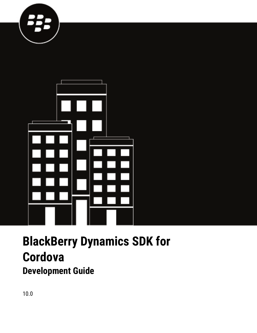



# **BlackBerry Dynamics SDK for Cordova Development Guide**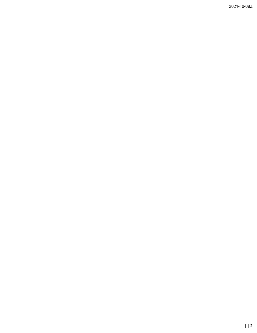2021-10-08Z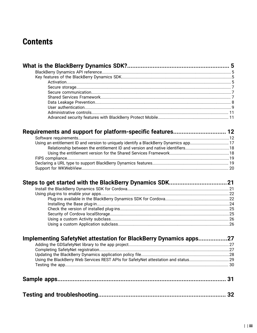## **Contents**

| Requirements and support for platform-specific features 12                   |  |
|------------------------------------------------------------------------------|--|
|                                                                              |  |
|                                                                              |  |
| Relationship between the entitlement ID and version and native identifiers18 |  |
|                                                                              |  |
|                                                                              |  |
|                                                                              |  |
|                                                                              |  |

| Steps to get started with the BlackBerry Dynamics SDK21 |  |
|---------------------------------------------------------|--|
|                                                         |  |
|                                                         |  |
|                                                         |  |
|                                                         |  |
|                                                         |  |
|                                                         |  |
|                                                         |  |
|                                                         |  |
|                                                         |  |

| Implementing SafetyNet attestation for BlackBerry Dynamics apps27 |  |
|-------------------------------------------------------------------|--|
|                                                                   |  |
|                                                                   |  |
|                                                                   |  |
|                                                                   |  |
|                                                                   |  |
|                                                                   |  |

|--|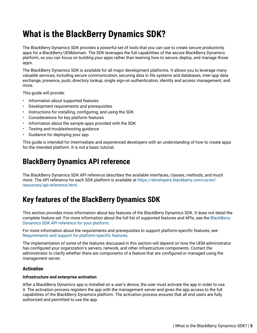## <span id="page-4-0"></span>**What is the BlackBerry Dynamics SDK?**

The BlackBerry Dynamics SDK provides a powerful set of tools that you can use to create secure productivity apps for a BlackBerry UEMdomain. The SDK leverages the full capabilities of the secure BlackBerry Dynamics platform, so you can focus on building your apps rather than learning how to secure, deploy, and manage those apps.

The BlackBerry Dynamics SDK is available for all major development platforms. It allows you to leverage many valuable services, including secure communication, securing data in file systems and databases, inter-app data exchange, presence, push, directory lookup, single sign-on authentication, identity and access management, and more.

This guide will provide:

- Information about supported features
- Development requirements and prerequisites
- Instructions for installing, configuring, and using the SDK
- Considerations for key platform features
- Information about the sample apps provided with the SDK
- Testing and troubleshooting guidance
- Guidance for deploying your app

This guide is intended for intermediate and experienced developers with an understanding of how to create apps for the intended platform. It is not a basic tutorial.

### <span id="page-4-1"></span>**BlackBerry Dynamics API reference**

The BlackBerry Dynamics SDK API reference describes the available interfaces, classes, methods, and much more. The API reference for each SDK platform is available at [https://developers.blackberry.com/us/en/](https://developers.blackberry.com/us/en/resources/api-reference.html) [resources/api-reference.html](https://developers.blackberry.com/us/en/resources/api-reference.html).

### <span id="page-4-2"></span>**Key features of the BlackBerry Dynamics SDK**

This section provides more information about key features of the BlackBerry Dynamics SDK. It does not detail the complete feature set. For more information about the full list of supported features and APIs, see the [BlackBerry](https://developers.blackberry.com/us/en/resources/api-reference.html) [Dynamics SDK API reference for your platform.](https://developers.blackberry.com/us/en/resources/api-reference.html)

For more information about the requirements and prerequisites to support platform-specific features, see [Requirements and support for platform-specific features.](#page-11-0)

The implementation of some of the features discussed in this section will depend on how the UEM administrator has configured your organization's servers, network, and other infrastructure components. Contact the administrator to clarify whether there are components of a feature that are configured or managed using the management server.

### <span id="page-4-3"></span>**Activation**

#### **Infrastructure and enterprise activation**

After a BlackBerry Dynamics app is installed on a user's device, the user must activate the app in order to use it. The activation process registers the app with the management server and gives the app access to the full capabilities of the BlackBerry Dynamics platform. The activation process ensures that all end users are fully authorized and permitted to use the app.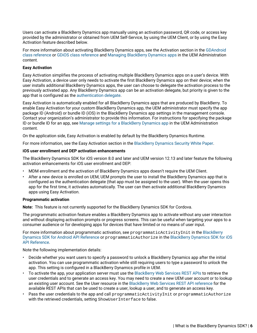Users can activate a BlackBerry Dynamics app manually using an activation password, QR code, or access key provided by the administrator or obtained from UEM Self-Service, by using the UEM Client, or by using the Easy Activation feature described below.

For more information about activating BlackBerry Dynamics apps, see the Activation section in the [GDAndroid](https://developer.blackberry.com/files/blackberry-dynamics/android/classcom_1_1good_1_1gd_1_1_g_d_android.html) [class reference](https://developer.blackberry.com/files/blackberry-dynamics/android/classcom_1_1good_1_1gd_1_1_g_d_android.html) or [GDiOS class reference](https://developer.blackberry.com/files/blackberry-dynamics/ios/interface_g_di_o_s.html) and [Managing BlackBerry Dynamics apps](https://docs.blackberry.com/en/endpoint-management/blackberry-uem/current/administration/blackberry-dynamics) in the UEM Administration content.

### **Easy Activation**

Easy Activation simplifies the process of activating multiple BlackBerry Dynamics apps on a user's device. With Easy Activation, a device user only needs to activate the first BlackBerry Dynamics app on their device; when the user installs additional BlackBerry Dynamics apps, the user can choose to delegate the activation process to the previously activated app. Any BlackBerry Dynamics app can be an activation delegate, but priority is given to the app that is configured as the [authentication delegate](#page-8-0).

Easy Activation is automatically enabled for all BlackBerry Dynamics apps that are produced by BlackBerry. To enable Easy Activation for your custom BlackBerry Dynamics app, the UEM administrator must specify the app package ID (Android) or bundle ID (iOS) in the BlackBerry Dynamics app settings in the management console. Contact your organization's administrator to provide this information. For instructions for specifying the package ID or bundle ID for an app, see [Manage settings for a BlackBerry Dynamics app](https://docs.blackberry.com/en/endpoint-management/blackberry-uem/current/administration/blackberry-dynamics/vvq1471962941016) in the UEM Administration content.

On the application side, Easy Activation is enabled by default by the BlackBerry Dynamics Runtime.

For more information, see the Easy Activation section in the [BlackBerry Dynamics Security White Paper.](https://docs.blackberry.com/content/dam/docs-blackberry-com/release-pdfs/en/blackberry-dynamics/BlackBerry%20Dynamics%20Security%20White%20Paper.pdf)

#### **iOS user enrollment and DEP activation enhancements**

The BlackBerry Dynamics SDK for iOS version 8.0 and later and UEM version 12.13 and later feature the following activation enhancements for iOS user enrollment and DEP:

- MDM enrollment and the activation of BlackBerry Dynamics apps doesn't require the UEM Client.
- After a new device is enrolled on UEM, UEM prompts the user to install the BlackBerry Dynamics app that is configured as the authentication delegate (that app must be assigned to the user). When the user opens this app for the first time, it activates automatically. The user can then activate additional BlackBerry Dynamics apps using Easy Activation.

#### **Programmatic activation**

**Note:** This feature is not currently supported for the BlackBerry Dynamics SDK for Cordova.

The programmatic activation feature enables a BlackBerry Dynamics app to activate without any user interaction and without displaying activation prompts or progress screens. This can be useful when targeting your apps to a consumer audience or for developing apps for devices that have limited or no means of user input.

For more information about programmatic activation, see programmaticActivityInit in the [BlackBerry](https://developer.blackberry.com/files/blackberry-dynamics/android/classcom_1_1good_1_1gd_1_1_g_d_android.html#a7323a7df6d53fc8e5f06f4c757404c09) [Dynamics SDK for Android API Reference](https://developer.blackberry.com/files/blackberry-dynamics/android/classcom_1_1good_1_1gd_1_1_g_d_android.html#a7323a7df6d53fc8e5f06f4c757404c09) or programmaticAuthorize in the [BlackBerry Dynamics SDK for iOS](https://developer.blackberry.com/files/blackberry-dynamics/ios/interface_g_di_o_s.html#a5e18b7d1750883d36817c82b7eba3afb) [API Reference.](https://developer.blackberry.com/files/blackberry-dynamics/ios/interface_g_di_o_s.html#a5e18b7d1750883d36817c82b7eba3afb)

Note the following implementation details:

- Decide whether you want users to specify a password to unlock a BlackBerry Dynamics app after the initial activation. You can use programmatic activation while still requiring users to type a password to unlock the app. This setting is configured in a BlackBerry Dynamics profile in UEM.
- To activate the app, your application server must use the [BlackBerry Web Services REST APIs](https://docs.blackberry.com/en/development-tools/blackberry-web-services-for-blackberry-uem/) to retrieve the user credentials and to generate an access key. You may need to create a new UEM user account or to lookup an existing user account. See the User resource in the [BlackBerry Web Services REST API reference](https://docs.blackberry.com/en/development-tools/blackberry-web-services-for-blackberry-uem/) for the available REST APIs that can be used to create a user, lookup a user, and to generate an access key.
- Pass the user credentials to the app and call programmaticActivityInit or programmaticAuthorize with the retrieved credentials, setting ShowUserInterface to false.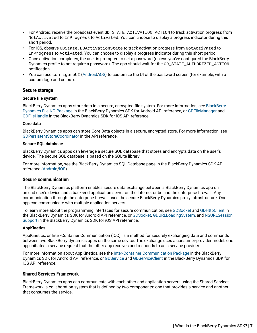- For Android, receive the broadcast event GD\_STATE\_ACTIVATION\_ACTION to track activation progress from NotActivated to InProgress to Activated. You can choose to display a progress indicator during this short period.
- For iOS, observe GDState.BBActivationState to track activation progress from NotActivated to InProgress to Activated. You can choose to display a progress indicator during this short period.
- Once activation completes, the user is prompted to set a password (unless you've configured the BlackBerry Dynamics profile to not require a password). The app should wait for the GD\_STATE\_AUTHORIZED\_ACTION notification.
- You can use configureUI ([Android/](https://developer.blackberry.com/files/blackberry-dynamics/android/classcom_1_1good_1_1gd_1_1_g_d_android.html#a745a99d166c1d5e497d71f56b32d8904)[iOS\)](https://developer.blackberry.com/files/blackberry-dynamics/ios/interface_g_di_o_s.html#a6e47e48d17ab541c99d4c296b239de58) to customize the UI of the password screen (for example, with a custom logo and colors).

### <span id="page-6-0"></span>**Secure storage**

#### **Secure file system**

BlackBerry Dynamics apps store data in a secure, encrypted file system. For more information, see [BlackBerry](https://developer.blackberry.com/files/blackberry-dynamics/android/namespacecom_1_1good_1_1gd_1_1file.html) [Dynamics File I/O Package](https://developer.blackberry.com/files/blackberry-dynamics/android/namespacecom_1_1good_1_1gd_1_1file.html) in the BlackBerry Dynamics SDK for Android API reference, or [GDFileManager](https://developer.blackberry.com/files/blackberry-dynamics/ios/interface_g_d_file_manager.html) and [GDFileHandle](https://developer.blackberry.com/files/blackberry-dynamics/ios/interface_g_d_file_handle.html) in the BlackBerry Dynamics SDK for iOS API reference.

#### **Core data**

BlackBerry Dynamics apps can store Core Data objects in a secure, encrypted store. For more information, see [GDPersistentStoreCoordinator](https://developer.blackberry.com/devzone/files/blackberry-dynamics/ios/interface_g_d_persistent_store_coordinator.html) in the API reference.

#### **Secure SQL database**

BlackBerry Dynamics apps can leverage a secure SQL database that stores and encrypts data on the user's device. The secure SQL database is based on the SQLite library.

For more information, see the BlackBerry Dynamics SQL Database page in the BlackBerry Dynamics SDK API reference [\(Android/](https://developer.blackberry.com/files/blackberry-dynamics/android/namespacecom_1_1good_1_1gd_1_1database.html)[iOS](https://developer.blackberry.com/files/blackberry-dynamics/ios/sqlite.html)).

### <span id="page-6-1"></span>**Secure communication**

The BlackBerry Dynamics platform enables secure data exchange between a BlackBerry Dynamics app on an end user's device and a back-end application server on the Internet or behind the enterprise firewall. Any communication through the enterprise firewall uses the secure BlackBerry Dynamics proxy infrastructure. One app can communicate with multiple application servers.

To learn more about the programming interfaces for secure communication, see [GDSocket](https://developer.blackberry.com/files/blackberry-dynamics/android/classcom_1_1good_1_1gd_1_1net_1_1_g_d_socket.html) and [GDHttpClient](https://developer.blackberry.com/files/blackberry-dynamics/android/classcom_1_1good_1_1gd_1_1net_1_1_g_d_http_client.html) in the BlackBerry Dynamics SDK for Android API reference, or [GDSocket](https://developer.blackberry.com/devzone/files/blackberry-dynamics/ios/interface_g_d_socket.html), [GDURLLoadingSystem,](https://developer.blackberry.com/devzone/files/blackberry-dynamics/ios/interface_g_d_u_r_l_loading_system.html) and [NSURLSession](https://developer.blackberry.com/files/blackberry-dynamics/ios/nsurlsession_support.html) [Support](https://developer.blackberry.com/files/blackberry-dynamics/ios/nsurlsession_support.html) in the BlackBerry Dynamics SDK for iOS API reference.

#### **AppKinetics**

AppKinetics, or Inter-Container Communication (ICC), is a method for securely exchanging data and commands between two BlackBerry Dynamics apps on the same device. The exchange uses a consumer-provider model: one app initiates a service request that the other app receives and responds to as a service provider.

For more information about AppKinetics, see the [Inter-Container Communication Package](https://developer.blackberry.com/files/blackberry-dynamics/android/namespacecom_1_1good_1_1gd_1_1icc.html) in the BlackBerry Dynamics SDK for Android API reference, or [GDService](https://developer.blackberry.com/files/blackberry-dynamics/ios/interface_g_d_service.html) and [GDServiceClient](https://developer.blackberry.com/files/blackberry-dynamics/ios/interface_g_d_service_client.html) in the BlackBerry Dynamics SDK for iOS API reference.

### <span id="page-6-2"></span>**Shared Services Framework**

BlackBerry Dynamics apps can communicate with each other and application servers using the Shared Services Framework, a collaboration system that is defined by two components: one that provides a service and another that consumes the service.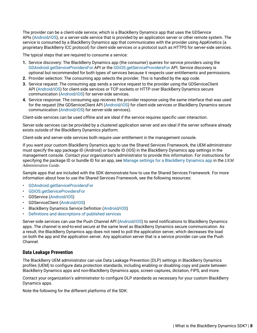The provider can be a client-side service, which is a BlackBerry Dynamics app that uses the GDService APIs ([Android](https://developer.blackberry.com/files/blackberry-dynamics/android/classcom_1_1good_1_1gd_1_1icc_1_1_g_d_service.html)[/iOS\)](https://developer.blackberry.com/files/blackberry-dynamics/ios/interface_g_d_service.html), or a server-side service that is provided by an application server or other remote system. The service is consumed by a BlackBerry Dynamics app that communicates with the provider using AppKinetics (a proprietary BlackBerry ICC protocol) for client-side services or a protocol such as HTTPS for server-side services.

The typical steps that are required to consume a service:

- **1.** Service discovery: The BlackBerry Dynamics app (the consumer) queries for service providers using the [GDAndroid.getServiceProvidersFor](https://developer.blackberry.com/files/blackberry-dynamics/android/classcom_1_1good_1_1gd_1_1_g_d_android.html) API or the [GDiOS.getServiceProvidersFor](https://developer.blackberry.com/files/blackberry-dynamics/ios/interface_g_di_o_s.html) API. Service discovery is optional but recommended for both types of services because it respects user entitlements and permissions.
- **2.** Provider selection: The consuming app selects the provider. This is handled by the app code.
- **3.** Service request: The consuming app sends a service request to the provider using the GDServiceClient API ([Android](https://developer.blackberry.com/files/blackberry-dynamics/android/classcom_1_1good_1_1gd_1_1icc_1_1_g_d_service_client.html)[/iOS\)](https://developer.blackberry.com/files/blackberry-dynamics/ios/interface_g_d_service_client.html) for client-side services or TCP sockets or HTTP over BlackBerry Dynamics secure communication [\(Android](https://developer.blackberry.com/files/blackberry-dynamics/android/index.html)[/iOS\)](https://developer.blackberry.com/files/blackberry-dynamics/ios/index.html) for server-side services.
- **4.** Service response: The consuming app receives the provider response using the same interface that was used for the request (the GDServiceClient API ([Android](https://developer.blackberry.com/files/blackberry-dynamics/android/classcom_1_1good_1_1gd_1_1icc_1_1_g_d_service_client.html)/[iOS\)](https://developer.blackberry.com/files/blackberry-dynamics/ios/interface_g_d_service_client.html) for client-side services or BlackBerry Dynamics secure communication [\(Android](https://developer.blackberry.com/files/blackberry-dynamics/android/index.html)[/iOS\)](https://developer.blackberry.com/files/blackberry-dynamics/ios/index.html) for server-side services).

Client-side services can be used offline and are ideal if the service requires specific user interaction.

Server-side services can be provided by a clustered application server and are ideal if the server software already exists outside of the BlackBerry Dynamics platform.

Client-side and server-side services both require user entitlement in the management console.

If you want your custom BlackBerry Dynamics app to use the Shared Services Framework, the UEM administrator must specify the app package ID (Android) or bundle ID (iOS) in the BlackBerry Dynamics app settings in the management console. Contact your organization's administrator to provide this information. For instructions for specifying the package ID or bundle ID for an app, see [Manage settings for a BlackBerry Dynamics app](https://docs.blackberry.com/en/endpoint-management/blackberry-uem/current/administration/blackberry-dynamics/vvq1471962941016) in the *UEM Administration Guide*.

Sample apps that are included with the SDK demonstrate how to use the Shared Services Framework. For more information about how to use the Shared Services Framework, see the following resources:

- [GDAndroid.getServiceProvidersFor](https://developer.blackberry.com/files/blackberry-dynamics/android/classcom_1_1good_1_1gd_1_1_g_d_android.html)
- [GDiOS.getServiceProvidersFor](https://developer.blackberry.com/files/blackberry-dynamics/ios/interface_g_di_o_s.html)
- GDService ([Android/](https://developer.blackberry.com/files/blackberry-dynamics/android/classcom_1_1good_1_1gd_1_1icc_1_1_g_d_service.html)[iOS\)](https://developer.blackberry.com/files/blackberry-dynamics/ios/interface_g_d_service.html)
- GDServiceClient [\(Android](https://developer.blackberry.com/files/blackberry-dynamics/android/classcom_1_1good_1_1gd_1_1icc_1_1_g_d_service_client.html)[/iOS](https://developer.blackberry.com/files/blackberry-dynamics/ios/interface_g_d_service_client.html))
- BlackBerry Dynamics Service Definition ([Android](https://developer.blackberry.com/files/blackberry-dynamics/android/_i_c_c_service_definition.html)[/iOS\)](https://developer.blackberry.com/files/blackberry-dynamics/ios/_i_c_c_service_definition.html)
- [Definitions and descriptions of published services](https://marketplace.blackberry.com/services)

Server-side services can use the Push Channel API ([Android](https://developer.blackberry.com/files/blackberry-dynamics/android/_g_n_p.html)[/iOS\)](https://developer.blackberry.com/files/blackberry-dynamics/ios/_g_n_p.html) to send notifications to BlackBerry Dynamics apps. The channel is end-to-end secure at the same level as BlackBerry Dynamics secure communication. As a result, the BlackBerry Dynamics app does not need to poll the application server, which decreases the load on both the app and the application server. Any application server that is a service provider can use the Push Channel.

### <span id="page-7-0"></span>**Data Leakage Prevention**

The BlackBerry UEM administrator can use Data Leakage Prevention (DLP) settings in BlackBerry Dynamics profiles (UEM) to configure data protection standards, including enabling or disabling copy and paste between BlackBerry Dynamics apps and non-BlackBerry Dynamics apps, screen captures, dictation, FIPS, and more.

Contact your organization's administrator to configure DLP standards as necessary for your custom BlackBerry Dynamics apps.

Note the following for the different platforms of the SDK: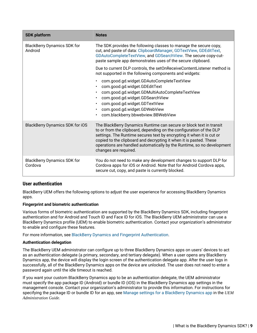| <b>SDK platform</b>                           | <b>Notes</b>                                                                                                                                                                                                                                                                                                                                                                                 |
|-----------------------------------------------|----------------------------------------------------------------------------------------------------------------------------------------------------------------------------------------------------------------------------------------------------------------------------------------------------------------------------------------------------------------------------------------------|
| <b>BlackBerry Dynamics SDK for</b><br>Android | The SDK provides the following classes to manage the secure copy,<br>cut, and paste of data: ClipboardManager, GDTextView, GDEditText,<br>GDAutoCompleteTextView, and GDSearchView. The secure copy-cut-<br>paste sample app demonstrates uses of the secure clipboard.                                                                                                                      |
|                                               | Due to current DLP controls, the setOnReceiveContentListener method is<br>not supported in the following components and widgets:                                                                                                                                                                                                                                                             |
|                                               | com.good.gd.widget.GDAutoCompleteTextView<br>com.good.gd.widget.GDEditText<br>com.good.gd.widget.GDMultiAutoCompleteTextView<br>com.good.gd.widget.GDSearchView<br>com.good.gd.widget.GDTextView<br>com.good.gd.widget.GDWebView<br>com.blackberry.bbwebview.BBWebView                                                                                                                       |
| <b>BlackBerry Dynamics SDK for iOS</b>        | The BlackBerry Dynamics Runtime can secure or block text in transit<br>to or from the clipboard, depending on the configuration of the DLP<br>settings. The Runtime secures text by encrypting it when it is cut or<br>copied to the clipboard and decrypting it when it is pasted. These<br>operations are handled automatically by the Runtime, so no development<br>changes are required. |
| <b>BlackBerry Dynamics SDK for</b><br>Cordova | You do not need to make any development changes to support DLP for<br>Cordova apps for iOS or Android. Note that for Android Cordova apps,<br>secure cut, copy, and paste is currently blocked.                                                                                                                                                                                              |

### <span id="page-8-0"></span>**User authentication**

BlackBerry UEM offers the following options to adjust the user experience for accessing BlackBerry Dynamics apps.

### **Fingerprint and biometric authentication**

Various forms of biometric authentication are supported by the BlackBerry Dynamics SDK, including fingerprint authentication and for Android and Touch ID and Face ID for iOS. The BlackBerry UEM administrator can use a BlackBerry Dynamics profile (UEM) to enable biometric authentication. Contact your organization's administrator to enable and configure these features.

For more information, see [BlackBerry Dynamics and Fingerprint Authentication](https://developers.blackberry.com/content/dam/developer-blackberry-com/resource-assets/pdf/whitepaper_fingerprint.pdf).

### **Authentication delegation**

The BlackBerry UEM administrator can configure up to three BlackBerry Dynamics apps on users' devices to act as an authentication delegate (a primary, secondary, and tertiary delegate). When a user opens any BlackBerry Dynamics app, the device will display the login screen of the authentication delegate app. After the user logs in successfully, all of the BlackBerry Dynamics apps on the device are unlocked. The user does not need to enter a password again until the idle timeout is reached.

If you want your custom BlackBerry Dynamics app to be an authentication delegate, the UEM administrator must specify the app package ID (Android) or bundle ID (iOS) in the BlackBerry Dynamics app settings in the management console. Contact your organization's administrator to provide this information. For instructions for specifying the package ID or bundle ID for an app, see [Manage settings for a BlackBerry Dynamics app](https://docs.blackberry.com/en/endpoint-management/blackberry-uem/current/administration/blackberry-dynamics/vvq1471962941016) in the *UEM Administration Guide*.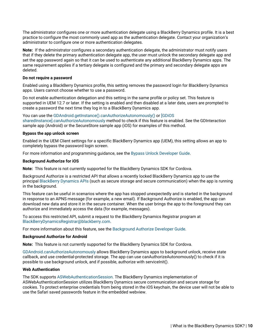The administrator configures one or more authentication delegate using a BlackBerry Dynamics profile. It is a best practice to configure the most commonly used app as the authentication delegate. Contact your organization's administrator to configure one or more authentication delegates.

**Note:** If the administrator configures a secondary authentication delegate, the administrator must notify users that if they delete the primary authentication delegate app, the user must unlock the secondary delegate app and set the app password again so that it can be used to authenticate any additional BlackBerry Dynamics apps. The same requirement applies if a tertiary delegate is configured and the primary and secondary delegate apps are deleted.

#### **Do not require a password**

Enabled using a BlackBerry Dynamics profile, this setting removes the password login for BlackBerry Dynamics apps. Users cannot choose whether to use a password.

Do not enable authentication delegation and this setting in the same profile or policy set. This feature is supported in UEM 12.7 or later. If the setting is enabled and then disabled at a later date, users are prompted to create a password the next time they log in to a BlackBerry Dynamics app.

You can use the [GDAndroid.getInstance\(\).canAuthorizeAutonomously\(\)](https://developer.blackberry.com/files/blackberry-dynamics/android/classcom_1_1good_1_1gd_1_1_g_d_android.html) or [\[GDiOS](https://developer.blackberry.com/files/blackberry-dynamics/ios/interface_g_di_o_s.html) [sharedInstance\].canAuthorizeAutonomously](https://developer.blackberry.com/files/blackberry-dynamics/ios/interface_g_di_o_s.html) method to check if this feature is enabled. See the GDInteraction sample app (Android) or the SecureStore sample app (iOS) for examples of this method.

### **Bypass the app unlock screen**

Enabled in the UEM Client settings for a specific BlackBerry Dynamics app (UEM), this setting allows an app to completely bypass the password login screen.

For more information and programming guidance, see the [Bypass Unlock Developer Guide](https://developers.blackberry.com/content/dam/developer-blackberry-com/resource-assets/pdf/BypassUnlock.pdf).

#### **Background Authorize for iOS**

**Note:** This feature is not currently supported for the BlackBerry Dynamics SDK for Cordova.

Background Authorize is a restricted API that allows a recently locked BlackBerry Dynamics app to use the principal [BlackBerry Dynamics APIs](https://developer.blackberry.com/files/blackberry-dynamics/ios/interface_g_di_o_s.html) (such as secure storage and secure communication) when the app is running in the background.

This feature can be useful in scenarios where the app has stopped unexpectedly and is started in the background in response to an APNS message (for example, a new email). If Background Authorize is enabled, the app can download new data and store it in the secure container. When the user brings the app to the foreground they can authorize and immediately access the data (for example, messages).

To access this restricted API, submit a request to the BlackBerry Dynamics Registrar program at [BlackBerryDynamicsRegistrar@blackberry.com.](mailto:BlackBerryDynamicsRegistrar@blackberry.com)

For more information about this feature, see the [Background Authorize Developer Guide.](https://developers.blackberry.com/content/dam/developer-blackberry-com/resource-assets/pdf/Background_Authorize_White_Paper.pdf)

#### **Background Authorize for Android**

**Note:** This feature is not currently supported for the BlackBerry Dynamics SDK for Cordova.

[GDAndroid.canAuthorizeAutonomously](https://developer.blackberry.com/files/blackberry-dynamics/android/classcom_1_1good_1_1gd_1_1_g_d_android.html#aa7a9cb82899788984f06762797f3263c) allows BlackBerry Dynamics apps to background unlock, receive state callback, and use credential-protected storage. The app can use canAuthorizeAutonomously() to check if it is possible to use background unlock, and if possible, authorize with serviceInit().

#### **Web Authentication**

The SDK supports [ASWebAuthenticationSession](https://developer.apple.com/documentation/authenticationservices/aswebauthenticationsession?language=objc). The BlackBerry Dynamics implementation of ASWebAuthenticationSession utilizes BlackBerry Dynamics secure communication and secure storage for cookies. To protect enterprise credentials from being stored in the iOS keychain, the device user will not be able to use the Safari saved passwords feature in the embedded webview.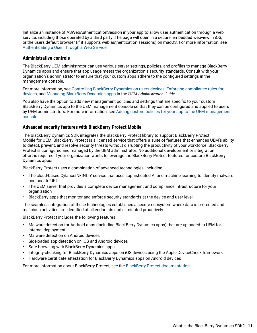Initialize an instance of ASWebAuthenticationSession in your app to allow user authentication through a web service, including those operated by a third party. The page will open in a secure, embedded webview in iOS, or the users default browser (if it supports web authentication sessions) on macOS. For more information, see [Authenticating a User Through a Web Service](https://developer.apple.com/documentation/authenticationservices/authenticating_a_user_through_a_web_service?language=objc).

### <span id="page-10-0"></span>**Administrative controls**

The BlackBerry UEM administrator can use various server settings, policies, and profiles to manage BlackBerry Dynamics apps and ensure that app usage meets the organization's security standards. Consult with your organization's administrator to ensure that your custom apps adhere to the configured settings in the management console.

For more information, see [Controlling BlackBerry Dynamics on users devices](https://docs.blackberry.com/en/endpoint-management/blackberry-uem/current/administration/blackberry-dynamics/aio1515009850720), [Enforcing compliance rules for](https://docs.blackberry.com/en/endpoint-management/blackberry-uem/current/administration/device-features-it-policies/enforcing-compliance-rules) [devices,](https://docs.blackberry.com/en/endpoint-management/blackberry-uem/current/administration/device-features-it-policies/enforcing-compliance-rules) and [Managing BlackBerry Dynamics apps](https://docs.blackberry.com/en/endpoint-management/blackberry-uem/current/administration/blackberry-dynamics) in the *UEM Administration Guide*.

You also have the option to add new management policies and settings that are specific to your custom BlackBerry Dynamics app to the UEM management console so that they can be configured and applied to users by UEM administrators. For more information, see Adding custom policies for your app to the UEM management console.

### <span id="page-10-1"></span>**Advanced security features with BlackBerry Protect Mobile**

The BlackBerry Dynamics SDK integrates the BlackBerry Protect library to support BlackBerry Protect Mobile for UEM. BlackBerry Protect is a licensed service that offers a suite of features that enhances UEM's ability to detect, prevent, and resolve security threats without disrupting the productivity of your workforce. BlackBerry Protect is configured and managed by the UEM administrator. No additional development or integration effort is required if your organization wants to leverage the BlackBerry Protect features for custom BlackBerry Dynamics apps.

BlackBerry Protect uses a combination of advanced technologies, including:

- The cloud-based CylanceINFINITY service that uses sophisticated AI and machine learning to identify malware and unsafe URL
- The UEM server that provides a complete device management and compliance infrastructure for your organization
- BlackBerry apps that monitor and enforce security standards at the device and user level

The seamless integration of these technologies establishes a secure ecosystem where data is protected and malicious activities are identified at all endpoints and eliminated proactively.

BlackBerry Protect includes the following features:

- Malware detection for Android apps (including BlackBerry Dynamics apps) that are uploaded to UEM for internal deployment
- Malware detection on Android devices
- Sideloaded app detection on iOS and Android devices
- Safe browsing with BlackBerry Dynamics apps
- Integrity checking for BlackBerry Dynamics apps on iOS devices using the Apple DeviceCheck framework
- Hardware certificate attestation for BlackBerry Dynamics apps on Android devices

For more information about BlackBerry Protect, see the [BlackBerry Protect documentation](https://docs.blackberry.com/en/cylance-and-security/blackberry-protect-mobile-uem/).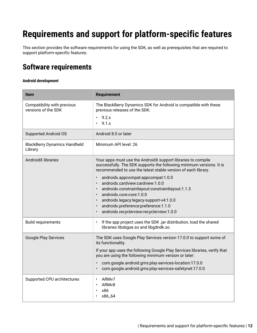## <span id="page-11-0"></span>**Requirements and support for platform-specific features**

This section provides the software requirements for using the SDK, as well as prerequisites that are required to support platform-specific features.

### <span id="page-11-1"></span>**Software requirements**

#### **Android development**

| <b>Item</b>                                        | <b>Requirement</b>                                                                                                                                                                                                                                                                                                                                                                                                                                                                             |
|----------------------------------------------------|------------------------------------------------------------------------------------------------------------------------------------------------------------------------------------------------------------------------------------------------------------------------------------------------------------------------------------------------------------------------------------------------------------------------------------------------------------------------------------------------|
| Compatibility with previous<br>versions of the SDK | The BlackBerry Dynamics SDK for Android is compatible with these<br>previous releases of the SDK:<br>9.2.x<br>$\cdot$ 9.1.x                                                                                                                                                                                                                                                                                                                                                                    |
| <b>Supported Android OS</b>                        | Android 8.0 or later                                                                                                                                                                                                                                                                                                                                                                                                                                                                           |
| <b>BlackBerry Dynamics Handheld</b><br>Library     | Minimum API level: 26                                                                                                                                                                                                                                                                                                                                                                                                                                                                          |
| <b>AndroidX libraries</b>                          | Your apps must use the AndroidX support libraries to compile<br>successfully. The SDK supports the following minimum versions. It is<br>recommended to use the latest stable version of each library.<br>androidx.appcompat:appcompat:1.0.0<br>androidx.cardview:cardview:1.0.0<br>androidx.constraintlayout:constraintlayout:1.1.3<br>androidx.core:core:1.0.0<br>androidx.legacy:legacy-support-v4:1.0.0<br>androidx.preference:preference:1.1.0<br>androidx.recyclerview:recyclerview:1.0.0 |
| <b>Build requirements</b>                          | If the app project uses the SDK .jar distribution, load the shared<br>$\bullet$<br>libraries libsbgse.so and libgdndk.so                                                                                                                                                                                                                                                                                                                                                                       |
| <b>Google Play Services</b>                        | The SDK uses Google Play Services version 17.0.0 to support some of<br>its functionality.<br>If your app uses the following Google Play Services libraries, verify that<br>you are using the following minimum version or later:<br>com.google.android.gms:play-services-location:17.0.0<br>com.google.android.gms:play-services-safetynet:17.0.0                                                                                                                                              |
| Supported CPU architectures                        | ARMv7<br>ARMv8<br>x86<br>x86_64                                                                                                                                                                                                                                                                                                                                                                                                                                                                |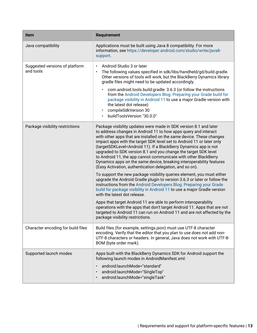| Item                                        | <b>Requirement</b>                                                                                                                                                                                                                                                                                                                                                                                                                                                                                                                                                                                                                                                                                                                                                                                                                                                                                                                                                                                                                                                                                                                                                                                                                            |
|---------------------------------------------|-----------------------------------------------------------------------------------------------------------------------------------------------------------------------------------------------------------------------------------------------------------------------------------------------------------------------------------------------------------------------------------------------------------------------------------------------------------------------------------------------------------------------------------------------------------------------------------------------------------------------------------------------------------------------------------------------------------------------------------------------------------------------------------------------------------------------------------------------------------------------------------------------------------------------------------------------------------------------------------------------------------------------------------------------------------------------------------------------------------------------------------------------------------------------------------------------------------------------------------------------|
| Java compatibility                          | Applications must be built using Java 8 compatibility. For more<br>information, see https://developer.android.com/studio/write/java8-<br>support.                                                                                                                                                                                                                                                                                                                                                                                                                                                                                                                                                                                                                                                                                                                                                                                                                                                                                                                                                                                                                                                                                             |
| Suggested versions of platform<br>and tools | Android Studio 3 or later<br>The following values specified in sdk/libs/handheld/gd/build.gradle.<br>٠<br>Other versions of tools will work, but the BlackBerry Dynamics library<br>gradle files might need to be updated accordingly.<br>com.android.tools.build:gradle: 3.6.3 (or follow the instructions<br>from the Android Developers Blog: Preparing your Grade build for<br>package visibility in Android 11 to use a major Gradle version with<br>the latest dot release)<br>compileSdkVersion 30<br>$\bullet$<br>buildToolsVersion "30.0.0"                                                                                                                                                                                                                                                                                                                                                                                                                                                                                                                                                                                                                                                                                          |
| Package visibility restrictions             | Package visibility updates were made in SDK version 8.1 and later<br>to address changes in Android 11 to how apps query and interact<br>with other apps that are installed on the same device. These changes<br>impact apps with the target SDK level set to Android 11 or later only<br>(targetSDKLevel=Android 11). If a BlackBerry Dynamics app is not<br>upgraded to SDK version 8.1 and you change the target SDK level<br>to Android 11, the app cannot communicate with other BlackBerry<br>Dynamics apps on the same device, breaking interoperability features<br>(Easy Activation, authentication delegation, and so on).<br>To support the new package visibility queries element, you must either<br>upgrade the Android Gradle plugin to version 3.6.3 or later or follow the<br>instructions from the Android Developers Blog: Preparing your Grade<br>build for package visibility in Android 11 to use a major Gradle version<br>with the latest dot release.<br>Apps that target Android 11 are able to perform interoperability<br>operations with the apps that don't target Android 11. Apps that are not<br>targeted to Android 11 can run on Android 11 and are not affected by the<br>package visibility restrictions. |
| Character encoding for build files          | Build files (for example, settings.json) must use UTF-8 character<br>encoding. Verify that the editor that you plan to use does not add non-<br>UTF-8 characters or headers. In general, Java does not work with UTF-8-<br>BOM (byte order mark).                                                                                                                                                                                                                                                                                                                                                                                                                                                                                                                                                                                                                                                                                                                                                                                                                                                                                                                                                                                             |
| Supported launch modes                      | Apps built with the BlackBerry Dynamics SDK for Android support the<br>following launch modes in AndroidManifest.xml:<br>android:launchMode="standard"<br>android:launchMode="SingleTop"<br>android:launchMode="singleTask"                                                                                                                                                                                                                                                                                                                                                                                                                                                                                                                                                                                                                                                                                                                                                                                                                                                                                                                                                                                                                   |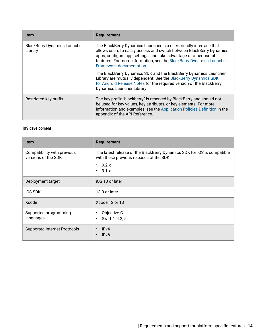| <b>Item</b>                                    | <b>Requirement</b>                                                                                                                                                                                                                                                                                                 |
|------------------------------------------------|--------------------------------------------------------------------------------------------------------------------------------------------------------------------------------------------------------------------------------------------------------------------------------------------------------------------|
| <b>BlackBerry Dynamics Launcher</b><br>Library | The BlackBerry Dynamics Launcher is a user-friendly interface that<br>allows users to easily access and switch between BlackBerry Dynamics<br>apps, configure app settings, and take advantage of other useful<br>features. For more information, see the BlackBerry Dynamics Launcher<br>Framework documentation. |
|                                                | The BlackBerry Dynamics SDK and the BlackBerry Dynamics Launcher<br>Library are mutually dependent. See the BlackBerry Dynamics SDK<br>for Android Release Notes for the required version of the BlackBerry<br>Dynamics Launcher Library.                                                                          |
| Restricted key prefix                          | The key prefix "blackberry" is reserved by BlackBerry and should not<br>be used for key values, key attributes, or key elements. For more<br>information and examples, see the Application Policies Definition in the<br>appendix of the API Reference.                                                            |

### **iOS development**

| <b>Item</b>                                        | <b>Requirement</b>                                                                                                                                    |
|----------------------------------------------------|-------------------------------------------------------------------------------------------------------------------------------------------------------|
| Compatibility with previous<br>versions of the SDK | The latest release of the BlackBerry Dynamics SDK for iOS is compatible<br>with these previous releases of the SDK:<br>$\cdot$ 9.2.x<br>$\cdot$ 9.1.x |
| Deployment target                                  | iOS 13 or later                                                                                                                                       |
| iOS SDK                                            | 13.0 or later                                                                                                                                         |
| Xcode                                              | Xcode 12 or 13                                                                                                                                        |
| Supported programming<br>languages                 | Objective-C<br>٠<br>Swift 4, 4.2, 5<br>$\bullet$                                                                                                      |
| Supported Internet Protocols                       | IPv4<br>$\bullet$<br>IP <sub>v</sub> 6<br>$\bullet$                                                                                                   |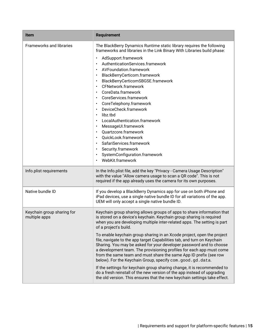| <b>Item</b>                                 | <b>Requirement</b>                                                                                                                                                                                                                                                                                                                                                                                                                                                                                                                                                                        |
|---------------------------------------------|-------------------------------------------------------------------------------------------------------------------------------------------------------------------------------------------------------------------------------------------------------------------------------------------------------------------------------------------------------------------------------------------------------------------------------------------------------------------------------------------------------------------------------------------------------------------------------------------|
| Frameworks and libraries                    | The BlackBerry Dynamics Runtime static library requires the following<br>frameworks and libraries in the Link Binary With Libraries build phase:                                                                                                                                                                                                                                                                                                                                                                                                                                          |
|                                             | AdSupport.framework<br>$\bullet$<br>AuthenticationServices.framework<br>AVFoundation.framework<br>$\bullet$<br>BlackBerryCerticom.framework<br>BlackBerryCerticomSBGSE.framework<br>CFNetwork.framework<br>CoreData.framework<br>$\bullet$<br>CoreServices.framework<br>CoreTelephony.framework<br>DeviceCheck.framework<br>libz.tbd<br>$\bullet$<br>LocalAuthentication.framework<br>MessageUI.framework<br>Quartzcore.framework<br>QuickLook.framework<br>SafariServices.framework<br>Security.framework<br>SystemConfiguration.framework<br>WebKit.framework                           |
| Info.plist requirements                     | In the Info.plist file, add the key "Privacy - Camera Usage Description"<br>with the value "Allow camera usage to scan a QR code". This is not<br>required if the app already uses the camera for its own purposes.                                                                                                                                                                                                                                                                                                                                                                       |
| Native bundle ID                            | If you develop a BlackBerry Dynamics app for use on both iPhone and<br>iPad devices, use a single native bundle ID for all variations of the app.<br>UEM will only accept a single native bundle ID.                                                                                                                                                                                                                                                                                                                                                                                      |
| Keychain group sharing for<br>multiple apps | Keychain group sharing allows groups of apps to share information that<br>is stored on a device's keychain. Keychain group sharing is required<br>when you are developing multiple inter-related apps. The setting is part<br>of a project's build.                                                                                                                                                                                                                                                                                                                                       |
|                                             | To enable keychain group sharing in an Xcode project, open the project<br>file, navigate to the app target Capabilities tab, and turn on Keychain<br>Sharing. You may be asked for your developer password and to choose<br>a development team. The provisioning profiles for each app must come<br>from the same team and must share the same App ID prefix (see row<br>below). For the Keychain Group, specify com. good.gd.data.<br>If the settings for keychain group sharing change, it is recommended to<br>do a fresh reinstall of the new version of the app instead of upgrading |
|                                             | the old version. This ensures that the new keychain settings take effect.                                                                                                                                                                                                                                                                                                                                                                                                                                                                                                                 |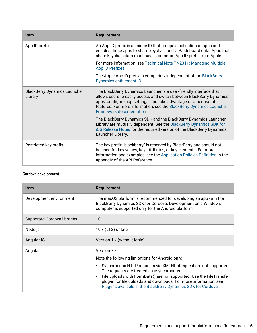| <b>Item</b>                                    | <b>Requirement</b>                                                                                                                                                                                                                                                                                                 |
|------------------------------------------------|--------------------------------------------------------------------------------------------------------------------------------------------------------------------------------------------------------------------------------------------------------------------------------------------------------------------|
| App ID prefix                                  | An App ID prefix is a unique ID that groups a collection of apps and<br>enables those apps to share keychain and UIPasteboard data. Apps that<br>share keychain data must have a common App ID prefix from Apple.                                                                                                  |
|                                                | For more information, see Technical Note TN2311: Managing Multiple<br>App ID Prefixes.                                                                                                                                                                                                                             |
|                                                | The Apple App ID prefix is completely independent of the BlackBerry<br>Dynamics entitlement ID.                                                                                                                                                                                                                    |
| <b>BlackBerry Dynamics Launcher</b><br>Library | The BlackBerry Dynamics Launcher is a user-friendly interface that<br>allows users to easily access and switch between BlackBerry Dynamics<br>apps, configure app settings, and take advantage of other useful<br>features. For more information, see the BlackBerry Dynamics Launcher<br>Framework documentation. |
|                                                | The BlackBerry Dynamics SDK and the BlackBerry Dynamics Launcher<br>Library are mutually dependent. See the BlackBerry Dynamics SDK for<br>iOS Release Notes for the required version of the BlackBerry Dynamics<br>Launcher Library.                                                                              |
| Restricted key prefix                          | The key prefix "blackberry" is reserved by BlackBerry and should not<br>be used for key values, key attributes, or key elements. For more<br>information and examples, see the Application Policies Definition in the<br>appendix of the API Reference.                                                            |

### **Cordova development**

| <b>Item</b>                 | <b>Requirement</b>                                                                                                                                                                                                                                                                                                                                                                                                       |
|-----------------------------|--------------------------------------------------------------------------------------------------------------------------------------------------------------------------------------------------------------------------------------------------------------------------------------------------------------------------------------------------------------------------------------------------------------------------|
| Development environment     | The macOS platform is recommended for developing an app with the<br>BlackBerry Dynamics SDK for Cordova. Development on a Windows<br>computer is supported only for the Android platform.                                                                                                                                                                                                                                |
| Supported Cordova libraries | 10                                                                                                                                                                                                                                                                                                                                                                                                                       |
| Node.js                     | 10.x (LTS) or later                                                                                                                                                                                                                                                                                                                                                                                                      |
| AngularJS                   | Version 1.x (without lonic)                                                                                                                                                                                                                                                                                                                                                                                              |
| Angular                     | Version 7.x<br>Note the following limitations for Android only:<br>Synchronous HTTP requests via XMLHttpRequest are not supported.<br>$\bullet$<br>The requests are treated as asynchronous.<br>File uploads with FormData() are not supported. Use the FileTransfer<br>$\bullet$<br>plug-in for file uploads and downloads. For more information, see<br>Plug-ins available in the BlackBerry Dynamics SDK for Cordova. |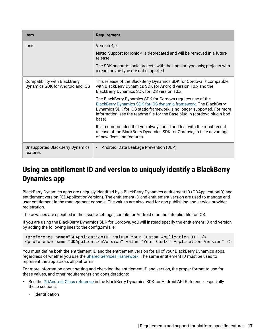| <b>Item</b>                                                       | <b>Requirement</b>                                                                                                                                                                                                                                                                                                                                                                                                                                                                                                                                                                                                                                                            |
|-------------------------------------------------------------------|-------------------------------------------------------------------------------------------------------------------------------------------------------------------------------------------------------------------------------------------------------------------------------------------------------------------------------------------------------------------------------------------------------------------------------------------------------------------------------------------------------------------------------------------------------------------------------------------------------------------------------------------------------------------------------|
| <b>lonic</b>                                                      | Version 4, 5<br><b>Note:</b> Support for lonic 4 is deprecated and will be removed in a future<br>release.<br>The SDK supports lonic projects with the angular type only; projects with<br>a react or vue type are not supported.                                                                                                                                                                                                                                                                                                                                                                                                                                             |
| Compatibility with BlackBerry<br>Dynamics SDK for Android and iOS | This release of the BlackBerry Dynamics SDK for Cordova is compatible<br>with BlackBerry Dynamics SDK for Android version 10.x and the<br>BlackBerry Dynamics SDK for iOS version 10.x.<br>The BlackBerry Dynamics SDK for Cordova requires use of the<br>BlackBerry Dynamics SDK for iOS dynamic framework. The BlackBerry<br>Dynamics SDK for iOS static framework is no longer supported. For more<br>information, see the readme file for the Base plug-in (cordova-plugin-bbd-<br>base).<br>It is recommended that you always build and test with the most recent<br>release of the BlackBerry Dynamics SDK for Cordova, to take advantage<br>of new fixes and features. |
| <b>Unsupported BlackBerry Dynamics</b><br>features                | Android: Data Leakage Prevention (DLP)                                                                                                                                                                                                                                                                                                                                                                                                                                                                                                                                                                                                                                        |

### <span id="page-16-0"></span>**Using an entitlement ID and version to uniquely identify a BlackBerry Dynamics app**

BlackBerry Dynamics apps are uniquely identified by a BlackBerry Dynamics entitlement ID (GDApplicationID) and entitlement version (GDApplicationVersion). The entitlement ID and entitlement version are used to manage enduser entitlement in the management console. The values are also used for app publishing and service provider registration.

These values are specified in the assets/settings.json file for Android or in the Info.plist file for iOS.

If you are using the BlackBerry Dynamics SDK for Cordova, you will instead specify the entitlement ID and version by adding the following lines to the config.xml file:

```
<preference name="GDApplicationID" value="Your_Custom_Application_ID" />
<preference name="GDApplicationVersion" value="Your_Custom_Application_Version" />
```
You must define both the entitlement ID and the entitlement version for all of your BlackBerry Dynamics apps, regardless of whether you use the [Shared Services Framework](#page-6-2). The same entitlement ID must be used to represent the app across all platforms.

For more information about setting and checking the entitlement ID and version, the proper format to use for these values, and other requirements and considerations:

- See the [GDAndroid Class reference](https://developer.blackberry.com/files/blackberry-dynamics/android/classcom_1_1good_1_1gd_1_1_g_d_android.html) in the BlackBerry Dynamics SDK for Android API Reference, especially these sections:
	- Identification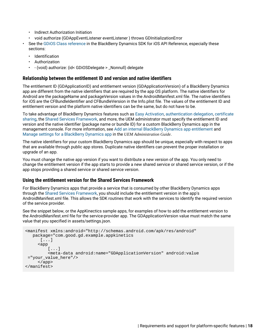- Indirect Authorization Initiation
- void authorize (GDAppEventListener eventListener ) throws GDInitializationError
- See the [GDiOS Class reference](https://developer.blackberry.com/files/blackberry-dynamics/ios/interface_g_di_o_s.html) in the BlackBerry Dynamics SDK for iOS API Reference, especially these sections:
	- Identification
	- Authorization
	- - (void) authorize: (id< GDiOSDelegate > \_Nonnull) delegate

### <span id="page-17-0"></span>**Relationship between the entitlement ID and version and native identifiers**

The entitlement ID (GDApplicationID) and entitlement version (GDApplicationVersion) of a BlackBerry Dynamics app are different from the native identifiers that are required by the app OS platform. The native identifiers for Android are the packageName and packageVersion values in the AndroidManifest.xml file. The native identifiers for iOS are the CFBundleIdentifier and CFBundleVersion in the Info.plist file. The values of the entitlement ID and entitlement version and the platform native identifiers can be the same, but do not have to be.

To take advantage of BlackBerry Dynamics features such as [Easy Activation](#page-4-3), [authentication delegation,](#page-8-0) [certificate](#page-34-0) [sharing](#page-34-0), the [Shared Services Framework,](#page-6-2) and more, the UEM administrator must specify the entitlement ID and version and the native identifier (package name or bundle ID) for a custom BlackBerry Dynamics app in the management console. For more information, see [Add an internal BlackBerry Dynamics app entitlement](https://docs.blackberry.com/en/endpoint-management/blackberry-uem/current/administration/blackberry-dynamics/Adding-Dynamics-apps/zjx1471960344735) and [Manage settings for a BlackBerry Dynamics app](https://docs.blackberry.com/en/endpoint-management/blackberry-uem/current/administration/blackberry-dynamics/vvq1471962941016) in the *UEM Administration Guide*.

The native identifiers for your custom BlackBerry Dynamics app should be unique, especially with respect to apps that are available through public app stores. Duplicate native identifiers can prevent the proper installation or upgrade of an app.

You must change the native app version if you want to distribute a new version of the app. You only need to change the entitlement version if the app starts to provide a new shared service or shared service version, or if the app stops providing a shared service or shared service version.

### <span id="page-17-1"></span>**Using the entitlement version for the Shared Services Framework**

For BlackBerry Dynamics apps that provide a service that is consumed by other BlackBerry Dynamics apps through the [Shared Services Framework](#page-6-2), you should include the entitlement version in the app's AndroidManifest.xml file. This allows the SDK routines that work with the services to identify the required version of the service provider.

See the snippet below, or the AppKinectics sample apps, for examples of how to add the entitlement version to the AndroidManifest.xml file for the service-provider app. The GDApplicationVersion value must match the same value that you specified in assets/settings.json.

```
<manifest xmlns:android="http://schemas.android.com/apk/res/android"
    package="com.good.gd.example.appkinetics
      [...]
      <app
          [...]
          <meta-data android:name="GDApplicationVersion" android:value
  ="your_value_here"/>
      </app>
</manifest>
```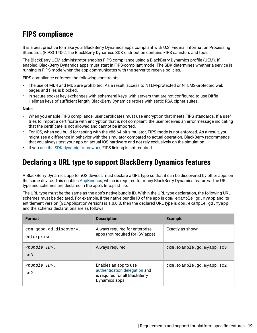### <span id="page-18-0"></span>**FIPS compliance**

It is a best practice to make your BlackBerry Dynamics apps compliant with U.S. Federal Information Processing Standards (FIPS) 140-2.The BlackBerry Dynamics SDK distribution contains FIPS canisters and tools.

The BlackBerry UEM administrator enables FIPS compliance using a BlackBerry Dynamics profile (UEM). If enabled, BlackBerry Dynamics apps must start in FIPS-compliant mode. The SDK determines whether a service is running in FIPS mode when the app communicates with the server to receive policies.

FIPS compliance enforces the following constraints:

- The use of MD4 and MD5 are prohibited. As a result, access to NTLM-protected or NTLM2-protected web pages and files is blocked.
- In secure socket key exchanges with ephemeral keys, with servers that are not configured to use Diffie-Hellman keys of sufficient length, BlackBerry Dynamics retries with static RSA cipher suites.

**Note:**

- When you enable FIPS compliance, user certificates must use encryption that meets FIPS standards. If a user tries to import a certificate with encryption that is not compliant, the user receives an error message indicating that the certificate is not allowed and cannot be imported.
- For iOS, when you build for testing with the x86 64-bit simulator, FIPS mode is not enforced. As a result, you might see a difference in behavior with the simulator compared to actual operation. BlackBerry recommends that you always test your app on actual iOS hardware and not rely exclusively on the simulation.
- If you use the SDK dynamic framework, FIPS linking is not required.

### <span id="page-18-1"></span>**Declaring a URL type to support BlackBerry Dynamics features**

A BlackBerry Dynamics app for iOS devices must declare a URL type so that it can be discovered by other apps on the same device. This enables [AppKinetics](#page-6-1), which is required for many BlackBerry Dynamics features. The URL type and schemes are declared in the app's Info.plist file.

The URL type must be the same as the app's native bundle ID. Within the URL type declaration, the following URL schemes must be declared. For example, if the native bundle ID of the app is com. example.gd. myapp and its entitlement version (GDApplicationVersion) is 1.0.0.0, then the declared URL type is com. example.gd.myapp and the schema declarations are as follows:

| Format                                      | <b>Description</b>                                                                                        | <b>Example</b>           |
|---------------------------------------------|-----------------------------------------------------------------------------------------------------------|--------------------------|
| com.good.gd.discovery.<br>enterprise        | Always required for enterprise<br>apps (not required for ISV apps)                                        | Exactly as shown         |
| <bundle id="">.<br/>sc<sub>3</sub></bundle> | Always required                                                                                           | com.example.qd.myapp.sc3 |
| <bundle id="">.<br/>sc<sub>2</sub></bundle> | Enables an app to use<br>authentication delegation and<br>is required for all BlackBerry<br>Dynamics apps | com.example.gd.myapp.sc2 |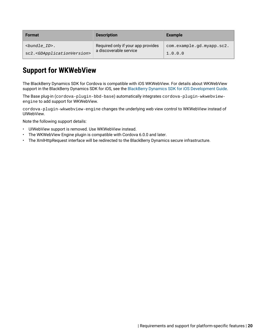| <b>Format</b>                                      | <b>Description</b>                 | <b>Example</b>            |
|----------------------------------------------------|------------------------------------|---------------------------|
| <bundle_id>.</bundle_id>                           | Required only if your app provides | com.example.gd.myapp.sc2. |
| sc2. <gdapplicationversion></gdapplicationversion> | a discoverable service             | 1.0.0.0                   |

### <span id="page-19-0"></span>**Support for WKWebView**

The BlackBerry Dynamics SDK for Cordova is compatible with iOS WKWebView. For details about WKWebView support in the BlackBerry Dynamics SDK for iOS, see the [BlackBerry Dynamics SDK for iOS Development Guide.](https://docs.blackberry.com/en/development-tools/blackberry-dynamics-sdk-ios/)

The Base plug-in (cordova-plugin-bbd-base) automatically integrates cordova-plugin-wkwebviewengine to add support for WKWebView.

cordova-plugin-wkwebview-engine changes the underlying web view control to WKWebView instead of UIWebView.

Note the following support details:

- UIWebView support is removed. Use WKWebView instead.
- The WKWebView Engine plugin is compatible with Cordova 6.0.0 and later.
- The XmlHttpRequest interface will be redirected to the BlackBerry Dynamics secure infrastructure.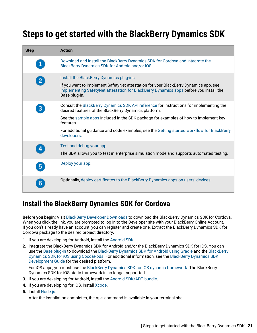## <span id="page-20-0"></span>**Steps to get started with the BlackBerry Dynamics SDK**

| <b>Step</b>    | <b>Action</b>                                                                                                                                                                                                                                                                                                                                                      |
|----------------|--------------------------------------------------------------------------------------------------------------------------------------------------------------------------------------------------------------------------------------------------------------------------------------------------------------------------------------------------------------------|
|                | Download and install the BlackBerry Dynamics SDK for Cordova and integrate the<br>BlackBerry Dynamics SDK for Android and/or iOS.                                                                                                                                                                                                                                  |
| $\overline{2}$ | Install the BlackBerry Dynamics plug-ins.<br>If you want to implement SafetyNet attestation for your BlackBerry Dynamics app, see<br>Implementing SafetyNet attestation for BlackBerry Dynamics apps before you install the<br>Base plug-in.                                                                                                                       |
| 3              | Consult the BlackBerry Dynamics SDK API reference for instructions for implementing the<br>desired features of the BlackBerry Dynamics platform.<br>See the sample apps included in the SDK package for examples of how to implement key<br>features.<br>For additional guidance and code examples, see the Getting started workflow for BlackBerry<br>developers. |
| 4              | Test and debug your app.<br>The SDK allows you to test in enterprise simulation mode and supports automated testing.                                                                                                                                                                                                                                               |
| 5 <sub>5</sub> | Deploy your app.                                                                                                                                                                                                                                                                                                                                                   |
| 6              | Optionally, deploy certificates to the BlackBerry Dynamics apps on users' devices.                                                                                                                                                                                                                                                                                 |

### <span id="page-20-1"></span>**Install the BlackBerry Dynamics SDK for Cordova**

**Before you begin:** Visit [BlackBerry Developer Downloads](https://developers.blackberry.com/us/en/resources/downloads.html) to download the BlackBerry Dynamics SDK for Cordova. When you click the link, you are prompted to log in to the Developer site with your BlackBerry Online Account. If you don't already have an account, you can register and create one. Extract the BlackBerry Dynamics SDK for Cordova package to the desired project directory.

- **1.** If you are developing for Android, install the [Android SDK](https://developer.android.com/studio/intro/update.html).
- **2.** Integrate the BlackBerry Dynamics SDK for Android and/or the BlackBerry Dynamics SDK for iOS. You can use the [Base plug-in](#page-23-0) to download the [BlackBerry Dynamics SDK for Android using Gradle](https://docs.blackberry.com/en/development-tools/blackberry-dynamics-sdk-android/10_0/blackberry-dynamics-sdk-android-devguide/Steps-to-get-started-And-iOS/Integrate-the-SDK-using-Gradle) and the [BlackBerry](https://docs.blackberry.com/en/development-tools/blackberry-dynamics-sdk-ios/10_0/blackberry-dynamics-sdk-ios-devguide/Steps-to-get-started-And-iOS/Use-the-Dynamics-SDK-dynamic-library/Configure-a-new-or-existing-BlackBerry-Dynamics-app-to-use-the-dynamic-library) [Dynamics SDK for iOS using CocoaPods](https://docs.blackberry.com/en/development-tools/blackberry-dynamics-sdk-ios/10_0/blackberry-dynamics-sdk-ios-devguide/Steps-to-get-started-And-iOS/Use-the-Dynamics-SDK-dynamic-library/Configure-a-new-or-existing-BlackBerry-Dynamics-app-to-use-the-dynamic-library). For additional information, see the [BlackBerry Dynamics SDK](https://docs.blackberry.com/en/development-tools/blackberry-dynamics-sdk-android/) [Development Guide](https://docs.blackberry.com/en/development-tools/blackberry-dynamics-sdk-android/) for the desired platform.

For iOS apps, you must use the [BlackBerry Dynamics SDK for iOS dynamic framework.](https://docs.blackberry.com/en/development-tools/blackberry-dynamics-sdk-ios/current/blackberry-dynamics-sdk-ios-devguide/Steps-to-get-started-And-iOS/Use-the-Dynamics-SDK-dynamic-library) The BlackBerry Dynamics SDK for iOS static framework is no longer supported.

- **3.** If you are developing for Android, install the [Android SDK/ADT bundle](https://developer.android.com/studio/index.html#download).
- **4.** If you are developing for iOS, install [Xcode](https://developer.apple.com/xcode/).
- **5.** Install [Node.js](https://nodejs.org/en/).

After the installation completes, the npm command is available in your terminal shell.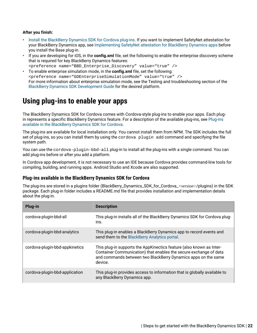#### **After you finish:**

- [Install the BlackBerry Dynamics SDK for Cordova plug-ins](#page-21-0). If you want to implement SafetyNet attestation for your BlackBerry Dynamics app, see [Implementing SafetyNet attestation for BlackBerry Dynamics apps](#page-26-0) before you install the Base plug-in.
- If you are developing for iOS, in the **config.xml** file, set the following to enable the enterprise discovery scheme that is required for key BlackBerry Dynamics features: <preference name="BBD\_Enterprise\_Discovery" value="true" />
- To enable enterprise simulation mode, in the **config.xml** file, set the following: <preference name="GDEnterpriseSimulationMode" value="true" /> For more information about enterprise simulation mode, see the Testing and troubleshooting section of the [BlackBerry Dynamics SDK Development Guide](https://docs.blackberry.com/en/development-tools/blackberry-dynamics-sdk-android/) for the desired platform.

### <span id="page-21-0"></span>**Using plug-ins to enable your apps**

The BlackBerry Dynamics SDK for Cordova comes with Cordova-style plug-ins to enable your apps. Each plugin represents a specific BlackBerry Dynamics feature. For a description of the available plug-ins, see [Plug-ins](#page-21-1) [available in the BlackBerry Dynamics SDK for Cordova](#page-21-1).

The plug-ins are available for local installation only. You cannot install them from NPM. The SDK includes the full set of plug-ins, so you can install them by using the cordova plugin add command and specifying the file system path.

You can use the cordova-plugin-bbd-all plug-in to install all the plug-ins with a single command. You can add plug-ins before or after you add a platform.

In Cordova app development, it is not necessary to use an IDE because Cordova provides command-line tools for compiling, building, and running apps. Android Studio and Xcode are also supported.

### <span id="page-21-1"></span>**Plug-ins available in the BlackBerry Dynamics SDK for Cordova**

The plug-ins are stored in a plugins folder (BlackBerry\_Dynamics\_SDK\_for\_Cordova\_*<version>*/plugins) in the SDK package. Each plug-in folder includes a README.md file that provides installation and implementation details about the plug-in.

| Plug-in                        | <b>Description</b>                                                                                                                                                                                                    |
|--------------------------------|-----------------------------------------------------------------------------------------------------------------------------------------------------------------------------------------------------------------------|
| cordova-plugin-bbd-all         | This plug-in installs all of the BlackBerry Dynamics SDK for Cordova plug-<br>ins.                                                                                                                                    |
| cordova-plugin-bbd-analytics   | This plug-in enables a BlackBerry Dynamics app to record events and<br>send them to the BlackBerry Analytics portal.                                                                                                  |
| cordova-plugin-bbd-appkinetics | This plug-in supports the AppKinectics feature (also known as Inter-<br>Container Communication) that enables the secure exchange of data<br>and commands between two BlackBerry Dynamics apps on the same<br>device. |
| cordova-plugin-bbd-application | This plug-in provides access to information that is globally available to<br>any BlackBerry Dynamics app.                                                                                                             |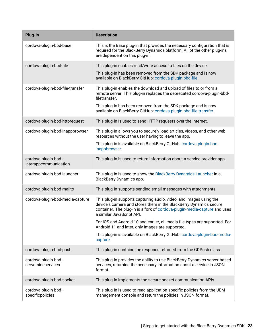| Plug-in                                      | <b>Description</b>                                                                                                                                                                                                                                |
|----------------------------------------------|---------------------------------------------------------------------------------------------------------------------------------------------------------------------------------------------------------------------------------------------------|
| cordova-plugin-bbd-base                      | This is the Base plug-in that provides the necessary configuration that is<br>required for the BlackBerry Dynamics platform. All of the other plug-ins<br>are dependent on this plug-in.                                                          |
| cordova-plugin-bbd-file                      | This plug-in enables read/write access to files on the device.                                                                                                                                                                                    |
|                                              | This plug-in has been removed from the SDK package and is now<br>available on BlackBerry GitHub: cordova-plugin-bbd-file.                                                                                                                         |
| cordova-plugin-bbd-file-transfer             | This plug-in enables the download and upload of files to or from a<br>remote server. This plug-in replaces the deprecated cordova-plugin-bbd-<br>filetransfer.                                                                                    |
|                                              | This plug-in has been removed from the SDK package and is now<br>available on BlackBerry GitHub: cordova-plugin-bbd-file-transfer.                                                                                                                |
| cordova-plugin-bbd-httprequest               | This plug-in is used to send HTTP requests over the Internet.                                                                                                                                                                                     |
| cordova-plugin-bbd-inappbrowser              | This plug-in allows you to securely load articles, videos, and other web<br>resources without the user having to leave the app.                                                                                                                   |
|                                              | This plug-in is available on BlackBerry GitHub: cordova-plugin-bbd-<br>inappbrowser.                                                                                                                                                              |
| cordova-plugin-bbd-<br>interappcommunication | This plug-in is used to return information about a service provider app.                                                                                                                                                                          |
| cordova-plugin-bbd-launcher                  | This plug-in is used to show the BlackBerry Dynamics Launcher in a<br>BlackBerry Dynamics app.                                                                                                                                                    |
| cordova-plugin-bbd-mailto                    | This plug-in supports sending email messages with attachments.                                                                                                                                                                                    |
| cordova-plugin-bbd-media-capture             | This plug-in supports capturing audio, video, and images using the<br>device's camera and stores them in the BlackBerry Dynamics secure<br>container. The plug-in is a fork of cordova-plugin-media-capture and uses<br>a similar JavaScript API. |
|                                              | For iOS and Android 10 and earlier, all media file types are supported. For<br>Android 11 and later, only images are supported.                                                                                                                   |
|                                              | This plug-in is available on BlackBerry GitHub: cordova-plugin-bbd-media-<br>capture.                                                                                                                                                             |
| cordova-plugin-bbd-push                      | This plug-in contains the response returned from the GDPush class.                                                                                                                                                                                |
| cordova-plugin-bbd-<br>serversideservices    | This plug-in provides the ability to use BlackBerry Dynamics server-based<br>services, returning the necessary information about a service in JSON<br>format.                                                                                     |
| cordova-plugin-bbd-socket                    | This plug-in implements the secure socket communication APIs.                                                                                                                                                                                     |
| cordova-plugin-bbd-<br>specificpolicies      | This plug-in is used to read application-specific policies from the UEM<br>management console and return the policies in JSON format.                                                                                                             |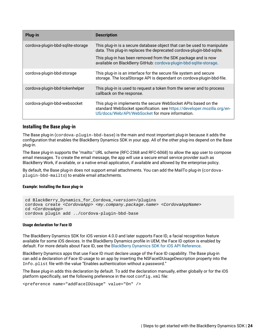| Plug-in                           | <b>Description</b>                                                                                                                                                                           |
|-----------------------------------|----------------------------------------------------------------------------------------------------------------------------------------------------------------------------------------------|
| cordova-plugin-bbd-sqlite-storage | This plug-in is a secure database object that can be used to manipulate<br>data. This plug-in replaces the deprecated cordova-plugin-bbd-sqlite.                                             |
|                                   | This plug-in has been removed from the SDK package and is now<br>available on BlackBerry GitHub: cordova-plugin-bbd-sqlite-storage.                                                          |
| cordova-plugin-bbd-storage        | This plug-in is an interface for the secure file system and secure<br>storage. The localStorage API is dependant on cordova-plugin-bbd-file.                                                 |
| cordova-plugin-bbd-tokenhelper    | This plug-in is used to request a token from the server and to process<br>callback on the response.                                                                                          |
| cordova-plugin-bbd-websocket      | This plug-in implements the secure WebSocket APIs based on the<br>standard WebSocket specification. see https://developer.mozilla.org/en-<br>US/docs/Web/API/WebSocket for more information. |

### <span id="page-23-0"></span>**Installing the Base plug-in**

The Base plug-in (cordova-plugin-bbd-base) is the main and most important plug-in because it adds the configuration that enables the BlackBerry Dynamics SDK in your app. All of the other plug-ins depend on the Base plug-in.

The Base plug-in supports the "mailto:" URL scheme (RFC-2368 and RFC-6068) to allow the app user to compose email messages. To create the email message, the app will use a secure email service provider such as BlackBerry Work, if available, or a native email application, if available and allowed by the enterprise policy.

By default, the Base plug-in does not support email attachments. You can add the MailTo plug-in (cordovaplugin-bbd-mailto) to enable email attachments.

### **Example: Installing the Base plug-in**

```
cd BlackBerry_Dynamics_for_Cordova_<version>/plugins 
cordova create <CordovaApp> <my.company.package.name> <CordovaAppName>
cd <CordovaApp>
cordova plugin add ../cordova-plugin-bbd-base
```
#### **Usage declaration for Face ID**

The BlackBerry Dynamics SDK for iOS version 4.0.0 and later supports Face ID, a facial recognition feature available for some iOS devices. In the BlackBerry Dynamics profile in UEM, the Face ID option is enabled by default. For more details about Face ID, see the [BlackBerry Dynamics SDK for iOS API Reference](https://developers.blackberry.com/us/en/resources/api-reference.html).

BlackBerry Dynamics apps that use Face ID must declare usage of the Face ID capability. The Base plug-in can add a declaration of Face ID usage to an app by inserting the NSFaceIDUsageDescription property into the Info.plist file with the value "Enables authentication without a password."

The Base plug-in adds this declaration by default. To add the declaration manually, either globally or for the iOS platform specifically, set the following preference in the root  $\text{confiq}$ .  $\text{xml}$  file:

```
<preference name="addFaceIDUsage" value="On" />
```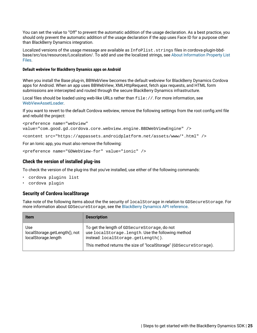You can set the value to "Off" to prevent the automatic addition of the usage declaration. As a best practice, you should only prevent the automatic addition of the usage declaration if the app uses Face ID for a purpose other than BlackBerry Dynamics integration.

Localized versions of the usage message are available as InfoPlist.strings files in cordova-plugin-bbdbase/src/ios/resources/Localization/. To add and use the localized strings, see [About Information Property List](https://developer.apple.com/library/content/documentation/General/Reference/InfoPlistKeyReference/Articles/AboutInformationPropertyListFiles.html) [Files.](https://developer.apple.com/library/content/documentation/General/Reference/InfoPlistKeyReference/Articles/AboutInformationPropertyListFiles.html)

#### **Default webview for BlackBerry Dynamics apps on Android**

When you install the Base plug-in, BBWebView becomes the default webview for BlackBerry Dynamics Cordova apps for Android. When an app uses BBWebView, XMLHttpRequest, fetch ajax requests, and HTML form submissions are intercepted and routed through the secure BlackBerry Dynamics infrastructure.

Local files should be loaded using web-like URLs rather than  $file://$ . For more information, see [WebViewAssetLoader.](https://developer.android.com/reference/androidx/webkit/WebViewAssetLoader)

If you want to revert to the default Cordova webview, remove the following settings from the root config.xml file and rebuild the project:

```
<preference name="webview"
value="com.good.gd.cordova.core.webview.engine.BBDWebViewEngine" />
```
<content src="https://appassets.androidplatform.net/assets/www/\*.html" />

For an Ionic app, you must also remove the following:

```
<preference name="GDWebView-for" value="ionic" />
```
### <span id="page-24-0"></span>**Check the version of installed plug-ins**

To check the version of the plug-ins that you've installed, use either of the following commands:

- cordova plugins list
- cordova plugin

### <span id="page-24-1"></span>**Security of Cordova localStorage**

Take note of the following items about the the security of localStorage in relation to GDSecureStorage. For more information about GDSecureStorage, see the [BlackBerry Dynamics API reference.](#page-4-1)

| <b>Item</b>                                                 | <b>Description</b>                                                                                                                       |
|-------------------------------------------------------------|------------------------------------------------------------------------------------------------------------------------------------------|
| Use<br>localStorage.getLength(), not<br>localStorage.length | To get the length of GDSecureStorage, do not<br>use localStorage. length. Use the following method<br>instead: localStorage.getLength(). |
|                                                             | This method returns the size of "localStorage" (GDSecureStorage).                                                                        |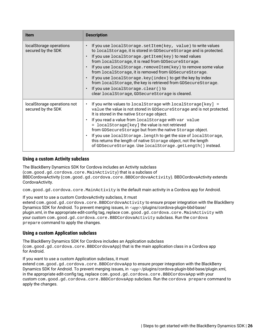| <b>Item</b>                                       | <b>Description</b>                                                                                                                                                                                                                                                                                                                                                                                                                                                                                                                                                                                                                            |
|---------------------------------------------------|-----------------------------------------------------------------------------------------------------------------------------------------------------------------------------------------------------------------------------------------------------------------------------------------------------------------------------------------------------------------------------------------------------------------------------------------------------------------------------------------------------------------------------------------------------------------------------------------------------------------------------------------------|
| localStorage operations<br>secured by the SDK     | If you use local Storage.set I tem (key, value) to write values<br>$\bullet$<br>to localStorage, it is stored in GDSecureStorage and is protected.<br>If you use localStorage.getItem(key) to read values<br>from localStorage, it is read from GDSecureStorage.<br>If you use localStorage.removeItem(key) to remove some value<br>$\bullet$<br>from localStorage, it is removed from GDSecureStorage.<br>If you use localStorage.key(index) to get the key by index<br>$\bullet$<br>from localStorage, the key is retrieved from GDSecureStorage.<br>If you use localStorage.clear() to<br>clear local Storage, GDSecureStorage is cleared. |
| localStorage operations not<br>secured by the SDK | If you write values to local Storage with local Storage [key] =<br>$\bullet$<br>value the value is not stored in GDSecureStorage and is not protected.<br>It is stored in the native Storage object.<br>If you read a value from localStorage with var value<br>$\bullet$<br>= localStorage [key] the value is not retrieved<br>from GDSecureStorage but from the native Storage object.<br>If you use localStorage. length to get the size of localStorage,<br>$\bullet$<br>this returns the length of native Storage object, not the length<br>of GDSecureStorage. Use localStorage.getLength() instead.                                    |

### <span id="page-25-0"></span>**Using a custom Activity subclass**

The BlackBerry Dynamics SDK for Cordova includes an Activity subclass (com.good.gd.cordova.core.MainActivity) that is a subclass of BBDCordovaActivity (com.good.gd.cordova.core.BBDCordovaActivity). BBDCordovaActivity extends CordovaActivity.

com.good.gd.cordova.core.MainActivity is the default main activity in a Cordova app for Android.

If you want to use a custom CordovaActivity subclass, it must

extend com.good.gd.cordova.core.BBDCordovaActivity to ensure proper integration with the BlackBerry Dynamics SDK for Android. To prevent merging issues, in *<app>*/plugins/cordova-plugin-bbd-base/ plugin.xml, in the appropriate edit-config tag, replace com.good.gd.cordova.core.MainActivity with your custom com.good.gd.cordova.core.BBDCordovaActivity subclass. Run the cordova prepare command to apply the changes.

### <span id="page-25-1"></span>**Using a custom Application subclass**

The BlackBerry Dynamics SDK for Cordova includes an Application subclass (com.good.gd.cordova.core.BBDCordovaApp) that is the main application class in a Cordova app for Android.

If you want to use a custom Application subclass, it must

extend com.good.gd.cordova.core.BBDCordovaApp to ensure proper integration with the BlackBerry Dynamics SDK for Android. To prevent merging issues, in <app>/plugins/cordova-plugin-bbd-base/plugin.xml, in the appropriate edit-config tag, replace com.good.gd.cordova.core.BBDCordovaApp with your custom com.good.gd.cordova.core.BBDCordovaApp subclass. Run the cordova prepare command to apply the changes.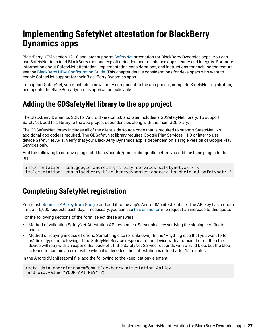## <span id="page-26-0"></span>**Implementing SafetyNet attestation for BlackBerry Dynamics apps**

BlackBerry UEM version 12.10 and later supports [SafetyNet](https://developers.google.com/android/reference/com/google/android/gms/safetynet/SafetyNet) attestation for BlackBerry Dynamics apps. You can use SafetyNet to extend BlackBerry root and exploit detection and to enhance app security and integrity. For more information about SafetyNet attestation, implementation considerations, and instructions for enabling the feature, see the [BlackBerry UEM Configuration Guide](https://docs.blackberry.com/en/endpoint-management/blackberry-uem/current/installation-configuration/configuration). This chapter details considerations for developers who want to enable SafetyNet support for their BlackBerry Dynamics apps.

To support SafetyNet, you must add a new library component to the app project, complete SafetyNet registration, and update the BlackBerry Dynamics application policy file.

### <span id="page-26-1"></span>**Adding the GDSafetyNet library to the app project**

The BlackBerry Dynamics SDK for Android version 5.0 and later includes a GDSafetyNet library. To support SafetyNet, add this library to the app project dependencies along with the main GDLibrary.

The GDSafetyNet library includes all of the client-side source code that is required to support SafetyNet. No additional app code is required. The GDSafetyNet library requires Google Play Services 11.0 or later to use device SafetyNet APIs. Verify that your BlackBerry Dynamics app is dependent on a single version of Google Play Services only.

Add the following to cordova-plugin-bbd-base/scripts/gradle/bbd.gradle before you add the base plug-in to the app:

```
implementation 'com.google.android.gms:play-services-safetynet:xx.x.x'
implementation 'com.blackberry.blackberrydynamics:android_handheld_gd_safetynet:+'
```
### <span id="page-26-2"></span>**Completing SafetyNet registration**

You must [obtain an API key from Google](https://developer.android.com/training/safetynet/attestation#add-api-key) and add it to the app's AndroidManifest.xml file. The API key has a quota limit of 10,000 requests each day. If necessary, you can use [this online form](https://support.google.com/googleplay/android-developer/contact/safetynetqr) to request an increase to this quota.

For the following sections of the form, select these answers:

- Method of validating SafetyNet Attestation API responses: Server side by verifying the signing certificate chain.
- Method of retrying in case of errors: Something else (or unknown). In the "Anything else that you want to tell us" field, type the following: If the SafetyNet Service responds to the device with a transient error, then the device will retry with an exponential back-off. If the SafetyNet Service responds with a valid blob, but the blob is found to contain an error value when it is decoded, then attestation is retried after 15 minutes.

In the AndroidManifest.xml file, add the following to the <application> element:

```
<meta-data android:name="com.blackberry.attestation.ApiKey"
 android:value="YOUR_API_KEY" />
```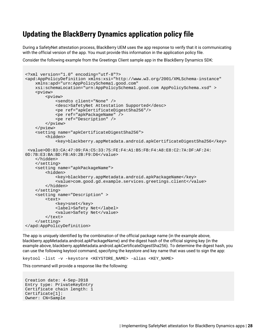### <span id="page-27-0"></span>**Updating the BlackBerry Dynamics application policy file**

During a SafetyNet attestation process, BlackBerry UEM uses the app response to verify that it is communicating with the official version of the app. You must provide this information in the application policy file.

Consider the following example from the Greetings Client sample app in the BlackBerry Dynamics SDK:

```
<?xml version="1.0" encoding="utf-8"?>
<apd:AppPolicyDefinition xmlns:xsi="http://www.w3.org/2001/XMLSchema-instance"
     xmlns:apd="urn:AppPolicySchema1.good.com" 
     xsi:schemaLocation="urn:AppPolicySchema1.good.com AppPolicySchema.xsd" >
     <pview>
         <pview>
             <sendto client="None" />
             <desc>SafetyNet Attestation Supported</desc>
             <pe ref="apkCertificateDigestSha256"/>
             <pe ref="apkPackageName" />
             <pe ref="Description" />
         </pview>
     </pview>
     <setting name="apkCertificateDigestSha256">
         <hidden>
             <key>blackberry.appMetadata.android.apkCertificateDigestSha256</key>
  <value>DD:83:CA:47:09:FA:C5:33:75:FE:F4:A1:B5:FB:F4:A8:E8:C2:7A:DF:AF:24:
0D:7B:E3:BA:BD:FB:A9:2B:F9:D6</value>
     </hidden>
     </setting>
     <setting name="apkPackageName">
         <hidden>
             <key>blackberry.appMetadata.android.apkPackageName</key>
             <value>com.good.gd.example.services.greetings.client</value>
         </hidden>
     </setting>
     <setting name="Description" >
         <text>
             <key>snet</key>
             <label>Safety Net</label>
            <value>Safety Net</value>
         </text>
     </setting>
</apd:AppPolicyDefinition>
```
The app is uniquely identified by the combination of the official package name (in the example above, blackberry.appMetadata.android.apkPackageName) and the digest hash of the official signing key (in the example above, blackberry.appMetadata.android.apkCertificateDigestSha256). To determine the digest hash, you can use the following keytool command, specifying the keystore and key name that was used to sign the app:

keytool -list -v -keystore <KEYSTORE\_NAME> -alias <KEY\_NAME>

This command will provide a response like the following:

```
Creation date: 4-Sep-2018
Entry type: PrivateKeyEntry
Certificate chain length: 1
Certificate[1]:
Owner: CN=Sample
```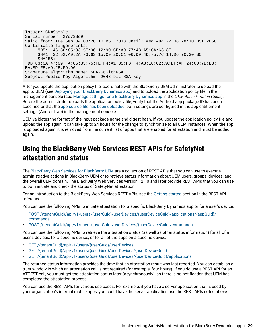```
Issuer: CN=Sample
Serial number: 27c738c9
Valid from: Tue Sep 04 08:28:10 BST 2018 until: Wed Aug 22 08:28:10 BST 2068
Certificate fingerprints:
     MD5: 4C:30:85:93:5E:96:12:90:CF:A0:77:48:A5:CA:63:8F
     SHA1: 3C:52:A0:2A:76:63:15:C9:20:C1:06:D9:4D:75:7C:14:D6:7C:30:BC
     SHA256:
 DD:83:CA:47:09:FA:C5:33:75:FE:F4:A1:B5:FB:F4:A8:E8:C2:7A:DF:AF:24:0D:7B:E3:
BA:BD:FB:A9:2B:F9:D6
Signature algorithm name: SHA256withRSA
Subject Public Key Algorithm: 2048-bit RSA key
```
After you update the application policy file, coordinate with the BlackBerry UEM administrator to upload the app to UEM (see [Deploying your BlackBerry Dynamics app](#page-33-0)) and to upload the application policy file in the management console (see [Manage settings for a BlackBerry Dynamics app](https://docs.blackberry.com/en/endpoint-management/blackberry-uem/12_11/administration/blackberry-dynamics/vvq1471962941016) in the *UEM Administration Guide*). Before the administrator uploads the application policy file, verify that the Android app package ID has been specified or that the [app source file has been uploaded;](https://docs.blackberry.com/en/endpoint-management/blackberry-uem/12_11/administration/blackberry-dynamics/Adding-Dynamics-apps/zjx1471960344735/cfn1476451456557) both settings are configured in the app entitlement settings (Android tab) in the management console.

UEM validates the format of the input package name and digest hash. If you update the application policy file and upload the app again, it can take up to 24 hours for the change to synchronize to all UEM instances. When the app is uploaded again, it is removed from the current list of apps that are enabled for attestation and must be added again.

### <span id="page-28-0"></span>**Using the BlackBerry Web Services REST APIs for SafetyNet attestation and status**

The [BlackBerry Web Services for BlackBerry UEM](https://docs.blackberry.com/en/development-tools/blackberry-web-services-for-blackberry-uem/) are a collection of REST APIs that you can use to execute administrative actions in BlackBerry UEM or to retrieve status information about UEM users, groups, devices, and the overall UEM domain. The BlackBerry Web Services version 12.10 and later provide REST APIs that you can use to both initiate and check the status of SafetyNet attestation.

For an introduction to the BlackBerry Web Services REST APIs, see the [Getting started](https://developer.blackberry.com/files/bws/reference/blackberry_uem_12_13_rest/gettingStarted.html) section in the REST API reference.

You can use the following APIs to initiate attestation for a specific BlackBerry Dynamics app or for a user's device:

- [POST /{tenantGuid}/api/v1/users/{userGuid}/userDevices/{userDeviceGuid}/applications/{appGuid}/](https://developer.blackberry.com/files/bws/reference/blackberry_uem_12_13_rest/resource_Users.html#resource_Users_sendUserDeviceApplicationCommand_POST) [commands](https://developer.blackberry.com/files/bws/reference/blackberry_uem_12_13_rest/resource_Users.html#resource_Users_sendUserDeviceApplicationCommand_POST)
- [POST /{tenantGuid}/api/v1/users/{userGuid}/userDevices/{userDeviceGuid}/commands](https://developer.blackberry.com/files/bws/reference/blackberry_uem_12_13_rest/resource_Users.html#resource_Users_sendUserDeviceCommand_POST)

You can use the following APIs to retrieve the attestation status (as well as other status information) for all of a user's devices, for a specific device, or for all of the apps on a specific device:

- [GET /{tenantGuid}/api/v1/users/{userGuid}/userDevices](https://developer.blackberry.com/files/bws/reference/blackberry_uem_12_13_rest/resource_Users.html#resource_Users_getUserDevices_GET)
- [GET /{tenantGuid}/api/v1/users/{userGuid}/userDevices/{userDeviceGuid}](https://developer.blackberry.com/files/bws/reference/blackberry_uem_12_13_rest/resource_Users.html#resource_Users_getUserDevice_GET)
- [GET /{tenantGuid}/api/v1/users/{userGuid}/userDevices/{userDeviceGuid}/applications](https://developer.blackberry.com/files/bws/reference/blackberry_uem_12_13_rest/resource_Users.html#resource_Users_getUserDeviceApplications_GET)

The returned status information provides the time that an attestation result was last reported. You can establish a trust window in which an attestation call is not required (for example, four hours). If you do use a REST API for an ATTEST call, you must get the attestation status later (asynchronously), as there is no notification that UEM has completed the attestation process.

You can use the REST APIs for various use cases. For example, if you have a server application that is used by your organization's internal mobile apps, you could have the server application use the REST APIs noted above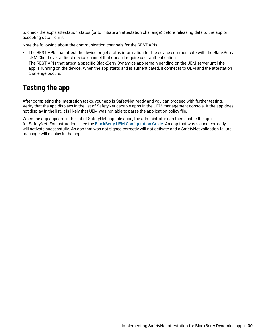to check the app's attestation status (or to initiate an attestation challenge) before releasing data to the app or accepting data from it.

Note the following about the communication channels for the REST APIs:

- The REST APIs that attest the device or get status information for the device communicate with the BlackBerry UEM Client over a direct device channel that doesn't require user authentication.
- The REST APIs that attest a specific BlackBerry Dynamics app remain pending on the UEM server until the app is running on the device. When the app starts and is authenticated, it connects to UEM and the attestation challenge occurs.

### <span id="page-29-0"></span>**Testing the app**

After completing the integration tasks, your app is SafetyNet ready and you can proceed with further testing. Verify that the app displays in the list of SafetyNet capable apps in the UEM management console. If the app does not display in the list, it is likely that UEM was not able to parse the application policy file.

When the app appears in the list of SafetyNet capable apps, the administrator can then enable the app for SafetyNet. For instructions, see the [BlackBerry UEM Configuration Guide](https://docs.blackberry.com/en/endpoint-management/blackberry-uem/current/installation-configuration/configuration). An app that was signed correctly will activate successfully. An app that was not signed correctly will not activate and a SafetyNet validation failure message will display in the app.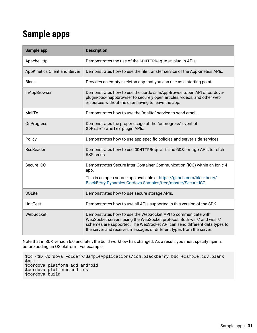## <span id="page-30-0"></span>**Sample apps**

| Sample app                           | <b>Description</b>                                                                                                                                                                                                                                                                          |
|--------------------------------------|---------------------------------------------------------------------------------------------------------------------------------------------------------------------------------------------------------------------------------------------------------------------------------------------|
| ApacheHttp                           | Demonstrates the use of the GDHTTPRequest plug-in APIs.                                                                                                                                                                                                                                     |
| <b>AppKinetics Client and Server</b> | Demonstrates how to use the file transfer service of the AppKinetics APIs.                                                                                                                                                                                                                  |
| <b>Blank</b>                         | Provides an empty skeleton app that you can use as a starting point.                                                                                                                                                                                                                        |
| InAppBrowser                         | Demonstrates how to use the cordova.InAppBrowser.open API of cordova-<br>plugin-bbd-inappbrowser to securely open articles, videos, and other web<br>resources without the user having to leave the app.                                                                                    |
| MailTo                               | Demonstrates how to use the "mailto" service to send email.                                                                                                                                                                                                                                 |
| <b>OnProgress</b>                    | Demonstrates the proper usage of the "onprogress" event of<br>GDFileTransfer plugin APIs.                                                                                                                                                                                                   |
| Policy                               | Demonstrates how to use app-specific policies and server-side services.                                                                                                                                                                                                                     |
| <b>RssReader</b>                     | Demonstrates how to use GDHTTPRequest and GDStorage APIs to fetch<br>RSS feeds.                                                                                                                                                                                                             |
| Secure ICC                           | Demonstrates Secure Inter-Container Communication (ICC) within an Ionic 4<br>app.                                                                                                                                                                                                           |
|                                      | This is an open source app available at https://github.com/blackberry/<br>BlackBerry-Dynamics-Cordova-Samples/tree/master/Secure-ICC.                                                                                                                                                       |
| SQLite                               | Demonstrates how to use secure storage APIs.                                                                                                                                                                                                                                                |
| UnitTest                             | Demonstrates how to use all APIs supported in this version of the SDK.                                                                                                                                                                                                                      |
| WebSocket                            | Demonstrates how to use the WebSocket API to communicate with<br>WebSocket servers using the WebSocket protocol. Both ws:// and wss://<br>schemes are supported. The WebSocket API can send different data types to<br>the server and receives messages of different types from the server. |

Note that in SDK version 6.0 and later, the build workflow has changed. As a result, you must specify npm i before adding an OS platform. For example:

```
$cd <GD_Cordova_Folder>/SampleApplications/com.blackberry.bbd.example.cdv.blank
$npm i
$cordova platform add android
$cordova platform add ios
$cordova build
```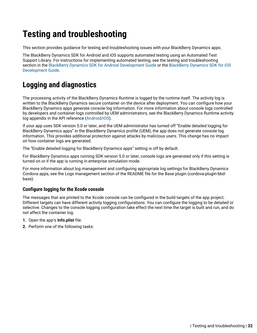## <span id="page-31-0"></span>**Testing and troubleshooting**

This section provides guidance for testing and troubleshooting issues with your BlackBerry Dynamics apps.

The BlackBerry Dynamics SDK for Android and iOS supports automated testing using an Automated Test Support Library. For instructions for implementing automated testing, see the testing and troubleshooting section in the [BlackBerry Dynamics SDK for Android Development Guide](https://docs.blackberry.com/en/development-tools/blackberry-dynamics-sdk-android/) or the [BlackBerry Dynamics SDK for iOS](https://docs.blackberry.com/en/development-tools/blackberry-dynamics-sdk-ios/) [Development Guide.](https://docs.blackberry.com/en/development-tools/blackberry-dynamics-sdk-ios/)

### <span id="page-31-1"></span>**Logging and diagnostics**

The processing activity of the BlackBerry Dynamics Runtime is logged by the runtime itself. The activity log is written to the BlackBerry Dynamics secure container on the device after deployment. You can configure how your BlackBerry Dynamics apps generate console log information. For more information about console logs controlled by developers and container logs controlled by UEM administrators, see the BlackBerry Dynamics Runtime activity log appendix in the API reference [\(Android/](https://developer.blackberry.com/files/blackberry-dynamics/android/logging.html)[iOS](https://developer.blackberry.com/files/blackberry-dynamics/ios/logging.html)).

If your app uses SDK version 5.0 or later, and the UEM administrator has turned off "Enable detailed logging for BlackBerry Dynamics apps" in the BlackBerry Dynamics profile (UEM), the app does not generate console log information. This provides additional protection against attacks by malicious users. This change has no impact on how container logs are generated.

The "Enable detailed logging for BlackBerry Dynamics apps" setting is off by default.

For BlackBerry Dynamics apps running SDK version 5.0 or later, console logs are generated only if this setting is turned on or if the app is running in enterprise simulation mode.

For more information about log management and configuring appropriate log settings for BlackBerry Dynamics Cordova apps, see the Logs management section of the README file for the Base plugin (cordova-plugin-bbdbase).

### <span id="page-31-2"></span>**Configure logging for the Xcode console**

The messages that are printed to the Xcode console can be configured in the build targets of the app project. Different targets can have different activity logging configurations. You can configure the logging to be detailed or selective. Changes to the console logging configuration take effect the next time the target is built and run, and do not affect the container log.

- **1.** Open the app's **Info.plist** file.
- **2.** Perform one of the following tasks: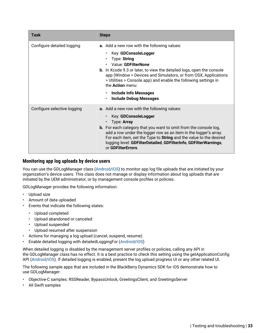| <b>Task</b>                 | <b>Steps</b>                                                                                                                                                                                                                                                                                                                                                                                                           |
|-----------------------------|------------------------------------------------------------------------------------------------------------------------------------------------------------------------------------------------------------------------------------------------------------------------------------------------------------------------------------------------------------------------------------------------------------------------|
| Configure detailed logging  | <b>a.</b> Add a new row with the following values:<br>Key: GDConsoleLogger<br>Type: String<br><b>Value: GDFilterNone</b><br><b>b.</b> In Xcode 9.3 or later, to view the detailed logs, open the console<br>app (Window > Devices and Simulators, or from OSX, Applications<br>> Utilities > Console.app) and enable the following settings in<br>the <b>Action</b> menu:<br><b>Include Info Messages</b><br>$\bullet$ |
|                             | <b>Include Debug Messages</b><br>$\bullet$                                                                                                                                                                                                                                                                                                                                                                             |
| Configure selective logging | <b>a.</b> Add a new row with the following values:<br>Key: GDConsoleLogger<br>Type: Array<br>$\bullet$<br><b>b.</b> For each category that you want to omit from the console log,<br>add a row under the logger row as an item in the logger's array.<br>For each item, set the Type to String and the value to the desired<br>logging level: GDFilterDetailed, GDFilterInfo, GDFilterWarnings,<br>or GDFilterErrors.  |

### <span id="page-32-0"></span>**Monitoring app log uploads by device users**

You can use the GDLogManager class [\(Android](https://developer.blackberry.com/files/blackberry-dynamics/android/classcom_1_1good_1_1gd_1_1log_1_1_g_d_log_manager.html)[/iOS\)](https://developer.blackberry.com/files/blackberry-dynamics/ios/interface_g_d_log_manager.html) to monitor app log file uploads that are initiated by your organization's device users. This class does not manage or display information about log uploads that are initiated by the UEM administrator, or by management console profiles or policies.

GDLogManager provides the following information:

- Upload size
- Amount of data uploaded
- Events that indicate the following states:
	- Upload completed
	- Upload abandoned or canceled
	- Upload suspended
	- Upload resumed after suspension
- Actions for managing a log upload (cancel, suspend, resume)
- Enable detailed logging with detailedLoggingFor ([Android](https://developer.blackberry.com/files/blackberry-dynamics/android/classcom_1_1good_1_1gd_1_1log_1_1_g_d_log_manager.html#a771a122d0e5606b1a1d429423ae5cd42)/[iOS\)](https://developer.blackberry.com/files/blackberry-dynamics/ios/interface_g_d_log_manager.html#a1af99c2bf802b1a62c9b529386638799)

When detailed logging is disabled by the management server profiles or policies, calling any API in the GDLogManager class has no effect. It is a best practice to check this setting using the getApplicationConfig API [\(Android](https://developer.blackberry.com/files/blackberry-dynamics/android/classcom_1_1good_1_1gd_1_1_g_d_android.html#aedeeab3604d3316fee1fda12cda56b8f)[/iOS\)](https://developer.blackberry.com/files/blackberry-dynamics/ios/interface_g_di_o_s.html#adc4112c998ad90c1f7e4fd162424ce1a). If detailed logging is enabled, present the log upload progress UI or any other related UI.

The following sample apps that are included in the BlackBerry Dynamics SDK for iOS demonstrate how to use GDLogManager:

- Objective-C samples: RSSReader, BypassUnlock, GreetingsClient, and GreetingsServer
- All Swift samples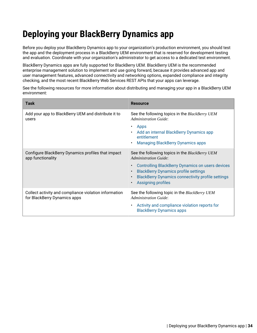## <span id="page-33-0"></span>**Deploying your BlackBerry Dynamics app**

Before you deploy your BlackBerry Dynamics app to your organization's production environment, you should test the app and the deployment process in a BlackBerry UEM environment that is reserved for development testing and evaluation. Coordinate with your organization's administrator to get access to a dedicated test environment.

BlackBerry Dynamics apps are fully supported for BlackBerry UEM. BlackBerry UEM is the recommended enterprise management solution to implement and use going forward, because it provides advanced app and user management features, advanced connectivity and networking options, expanded compliance and integrity checking, and the most recent BlackBerry Web Services REST APIs that your apps can leverage.

See the following resources for more information about distributing and managing your app in a BlackBerry UEM environment:

| <b>Task</b>                                                                           | <b>Resource</b>                                                                                                                                                                                                                              |
|---------------------------------------------------------------------------------------|----------------------------------------------------------------------------------------------------------------------------------------------------------------------------------------------------------------------------------------------|
| Add your app to BlackBerry UEM and distribute it to<br>users                          | See the following topics in the BlackBerry UEM<br>Administration Guide:                                                                                                                                                                      |
|                                                                                       | Apps<br>$\bullet$<br>Add an internal BlackBerry Dynamics app<br>$\bullet$<br>entitlement<br><b>Managing BlackBerry Dynamics apps</b><br>$\bullet$                                                                                            |
| Configure BlackBerry Dynamics profiles that impact<br>app functionality               | See the following topics in the BlackBerry UEM<br>Administration Guide:                                                                                                                                                                      |
|                                                                                       | <b>Controlling BlackBerry Dynamics on users devices</b><br>$\bullet$<br><b>BlackBerry Dynamics profile settings</b><br>$\bullet$<br><b>BlackBerry Dynamics connectivity profile settings</b><br>$\bullet$<br>Assigning profiles<br>$\bullet$ |
| Collect activity and compliance violation information<br>for BlackBerry Dynamics apps | See the following topic in the BlackBerry UEM<br>Administration Guide:                                                                                                                                                                       |
|                                                                                       | Activity and compliance violation reports for<br>$\bullet$<br><b>BlackBerry Dynamics apps</b>                                                                                                                                                |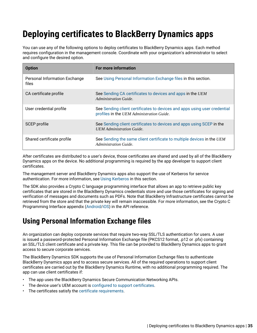## <span id="page-34-0"></span>**Deploying certificates to BlackBerry Dynamics apps**

You can use any of the following options to deploy certificates to BlackBerry Dynamics apps. Each method requires configuration in the management console. Coordinate with your organization's administrator to select and configure the desired option.

| <b>Option</b>                          | For more information                                                                                                   |
|----------------------------------------|------------------------------------------------------------------------------------------------------------------------|
| Personal Information Exchange<br>files | See Using Personal Information Exchange files in this section.                                                         |
| CA certificate profile                 | See Sending CA certificates to devices and apps in the UEM<br>Administration Guide.                                    |
| User credential profile                | See Sending client certificates to devices and apps using user credential<br>profiles in the UEM Administration Guide. |
| SCEP profile                           | See Sending client certificates to devices and apps using SCEP in the<br><b>UEM</b> Administration Guide.              |
| Shared certificate profile             | See Sending the same client certificate to multiple devices in the UEM<br>Administration Guide.                        |

After certificates are distributed to a user's device, those certificates are shared and used by all of the BlackBerry Dynamics apps on the device. No additional programming is required by the app developer to support client certificates.

The management server and BlackBerry Dynamics apps also support the use of Kerberos for service authentication. For more information, see [Using Kerberos](#page-36-0) in this section.

The SDK also provides a Crypto C language programming interface that allows an app to retrieve public key certificates that are stored in the BlackBerry Dynamics credentials store and use those certificates for signing and verification of messages and documents such as PDFs. Note that BlackBerry Infrastructure certificates cannot be retrieved from the store and that the private key will remain inaccessible. For more information, see the Crypto C Programming Interface appendix ([Android](https://developer.blackberry.com/files/blackberry-dynamics/android/crypto.html)/[iOS\)](https://developer.blackberry.com/files/blackberry-dynamics/ios/crypto.html) in the API reference.

### <span id="page-34-1"></span>**Using Personal Information Exchange files**

An organization can deploy corporate services that require two-way SSL/TLS authentication for users. A user is issued a password-protected Personal Information Exchange file (PKCS12 format, .p12 or .pfx) containing an SSL/TLS client certificate and a private key. This file can be provided to BlackBerry Dynamics apps to grant access to secure corporate services.

The BlackBerry Dynamics SDK supports the use of Personal Information Exchange files to authenticate BlackBerry Dynamics apps and to access secure services. All of the required operations to support client certificates are carried out by the BlackBerry Dynamics Runtime, with no additional programming required. The app can use client certificates if:

- The app uses the BlackBerry Dynamics Secure Communication Networking APIs.
- The device user's UEM account is [configured to support certificates](#page-35-0).
- The certificates satisfy the [certificate requirements](#page-35-1).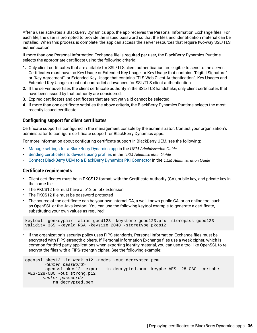After a user activates a BlackBerry Dynamics app, the app receives the Personal Information Exchange files. For each file, the user is prompted to provide the issued password so that the files and identification material can be installed. When this process is complete, the app can access the server resources that require two-way SSL/TLS authentication.

If more than one Personal Information Exchange file is required per user, the BlackBerry Dynamics Runtime selects the appropriate certificate using the following criteria:

- **1.** Only client certificates that are suitable for SSL/TLS client authentication are eligible to send to the server. Certificates must have no Key Usage or Extended Key Usage, or Key Usage that contains "Digital Signature" or "Key Agreement", or Extended Key Usage that contains "TLS Web Client Authentication". Key Usages and Extended Key Usages must not contradict allowances for SSL/TLS client authentication.
- **2.** If the server advertises the client certificate authority in the SSL/TLS handshake, only client certificates that have been issued by that authority are considered.
- **3.** Expired certificates and certificates that are not yet valid cannot be selected.
- **4.** If more than one certificate satisfies the above criteria, the BlackBerry Dynamics Runtime selects the most recently issued certificate.

### <span id="page-35-0"></span>**Configuring support for client certificates**

Certificate support is configured in the management console by the administrator. Contact your organization's administrator to configure certificate support for BlackBerry Dynamics apps.

For more information about configuring certificate support in BlackBerry UEM, see the following:

- [Manage settings for a BlackBerry Dynamics app](https://docs.blackberry.com/en/endpoint-management/blackberry-uem/current/administration/blackberry-dynamics/vvq1471962941016) in the *UEM Administration Guide*
- [Sending certificates to devices using profiles](https://docs.blackberry.com/en/endpoint-management/blackberry-uem/current/administration/pki-certificates/amo1418143666469) in the *UEM Administration Guide*
- [Connect BlackBerry UEM to a BlackBerry Dynamics PKI Connector](https://docs.blackberry.com/en/endpoint-management/blackberry-uem/current/administration/pki-certificates/pki-software/blackberry-dynamics-pki-connector) in the *UEM Administration Guide*

### <span id="page-35-1"></span>**Certificate requirements**

- Client certificates must be in PKCS12 format, with the Certificate Authority (CA), public key, and private key in the same file.
- The PKCS12 file must have a .p12 or .pfx extension
- The PKCS12 file must be password-protected
- The source of the certificate can be your own internal CA, a well-known public CA, or an online tool such as OpenSSL or the Java keytool. You can use the following keytool example to generate a certificate, substituting your own values as required:

```
keytool -genkeypair -alias good123 -keystore good123.pfx -storepass good123 -
validity 365 -keyalg RSA -keysize 2048 -storetype pkcs12
```
• If the organization's security policy uses FIPS standards, Personal Information Exchange files must be encrypted with FIPS-strength ciphers. If Personal Information Exchange files use a weak cipher, which is common for third-party applications when exporting identity material, you can use a tool like OpenSSL to reencrypt the files with a FIPS-strength cipher. See the following example:

```
openssl pkcs12 -in weak.p12 -nodes -out decrypted.pem
         <enter password>
         openssl pkcs12 -export -in decrypted.pem -keypbe AES-128-CBC -certpbe 
  AES-128-CBC -out strong.p12
        <enter password>
            rm decrypted.pem
```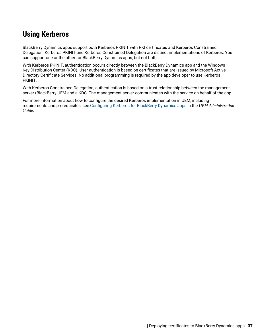### <span id="page-36-0"></span>**Using Kerberos**

BlackBerry Dynamics apps support both Kerberos PKINIT with PKI certificates and Kerberos Constrained Delegation. Kerberos PKINIT and Kerberos Constrained Delegation are distinct implementations of Kerberos. You can support one or the other for BlackBerry Dynamics apps, but not both.

With Kerberos PKINIT, authentication occurs directly between the BlackBerry Dynamics app and the Windows Key Distribution Center (KDC). User authentication is based on certificates that are issued by Microsoft Active Directory Certificate Services. No additional programming is required by the app developer to use Kerberos PKINIT.

With Kerberos Constrained Delegation, authentication is based on a trust relationship between the management server (BlackBerry UEM and a KDC. The management server communicates with the service on behalf of the app.

For more information about how to configure the desired Kerberos implementation in UEM, including requirements and prerequisites, see [Configuring Kerberos for BlackBerry Dynamics apps](https://docs.blackberry.com/en/endpoint-management/blackberry-uem/current/installation-configuration/configuration/ski1473699481442/Kerberos-Constrained-Delegation) in the *UEM Administration Guide*.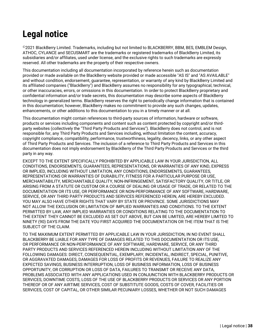## <span id="page-37-0"></span>**Legal notice**

©2021 BlackBerry Limited. Trademarks, including but not limited to BLACKBERRY, BBM, BES, EMBLEM Design, ATHOC, CYLANCE and SECUSMART are the trademarks or registered trademarks of BlackBerry Limited, its subsidiaries and/or affiliates, used under license, and the exclusive rights to such trademarks are expressly reserved. All other trademarks are the property of their respective owners.

This documentation including all documentation incorporated by reference herein such as documentation provided or made available on the BlackBerry website provided or made accessible "AS IS" and "AS AVAILABLE" and without condition, endorsement, guarantee, representation, or warranty of any kind by BlackBerry Limited and its affiliated companies ("BlackBerry") and BlackBerry assumes no responsibility for any typographical, technical, or other inaccuracies, errors, or omissions in this documentation. In order to protect BlackBerry proprietary and confidential information and/or trade secrets, this documentation may describe some aspects of BlackBerry technology in generalized terms. BlackBerry reserves the right to periodically change information that is contained in this documentation; however, BlackBerry makes no commitment to provide any such changes, updates, enhancements, or other additions to this documentation to you in a timely manner or at all.

This documentation might contain references to third-party sources of information, hardware or software, products or services including components and content such as content protected by copyright and/or thirdparty websites (collectively the "Third Party Products and Services"). BlackBerry does not control, and is not responsible for, any Third Party Products and Services including, without limitation the content, accuracy, copyright compliance, compatibility, performance, trustworthiness, legality, decency, links, or any other aspect of Third Party Products and Services. The inclusion of a reference to Third Party Products and Services in this documentation does not imply endorsement by BlackBerry of the Third Party Products and Services or the third party in any way.

EXCEPT TO THE EXTENT SPECIFICALLY PROHIBITED BY APPLICABLE LAW IN YOUR JURISDICTION, ALL CONDITIONS, ENDORSEMENTS, GUARANTEES, REPRESENTATIONS, OR WARRANTIES OF ANY KIND, EXPRESS OR IMPLIED, INCLUDING WITHOUT LIMITATION, ANY CONDITIONS, ENDORSEMENTS, GUARANTEES, REPRESENTATIONS OR WARRANTIES OF DURABILITY, FITNESS FOR A PARTICULAR PURPOSE OR USE, MERCHANTABILITY, MERCHANTABLE QUALITY, NON-INFRINGEMENT, SATISFACTORY QUALITY, OR TITLE, OR ARISING FROM A STATUTE OR CUSTOM OR A COURSE OF DEALING OR USAGE OF TRADE, OR RELATED TO THE DOCUMENTATION OR ITS USE, OR PERFORMANCE OR NON-PERFORMANCE OF ANY SOFTWARE, HARDWARE, SERVICE, OR ANY THIRD PARTY PRODUCTS AND SERVICES REFERENCED HEREIN, ARE HEREBY EXCLUDED. YOU MAY ALSO HAVE OTHER RIGHTS THAT VARY BY STATE OR PROVINCE. SOME JURISDICTIONS MAY NOT ALLOW THE EXCLUSION OR LIMITATION OF IMPLIED WARRANTIES AND CONDITIONS. TO THE EXTENT PERMITTED BY LAW, ANY IMPLIED WARRANTIES OR CONDITIONS RELATING TO THE DOCUMENTATION TO THE EXTENT THEY CANNOT BE EXCLUDED AS SET OUT ABOVE, BUT CAN BE LIMITED, ARE HEREBY LIMITED TO NINETY (90) DAYS FROM THE DATE YOU FIRST ACQUIRED THE DOCUMENTATION OR THE ITEM THAT IS THE SUBJECT OF THE CLAIM.

TO THE MAXIMUM EXTENT PERMITTED BY APPLICABLE LAW IN YOUR JURISDICTION, IN NO EVENT SHALL BLACKBERRY BE LIABLE FOR ANY TYPE OF DAMAGES RELATED TO THIS DOCUMENTATION OR ITS USE, OR PERFORMANCE OR NON-PERFORMANCE OF ANY SOFTWARE, HARDWARE, SERVICE, OR ANY THIRD PARTY PRODUCTS AND SERVICES REFERENCED HEREIN INCLUDING WITHOUT LIMITATION ANY OF THE FOLLOWING DAMAGES: DIRECT, CONSEQUENTIAL, EXEMPLARY, INCIDENTAL, INDIRECT, SPECIAL, PUNITIVE, OR AGGRAVATED DAMAGES, DAMAGES FOR LOSS OF PROFITS OR REVENUES, FAILURE TO REALIZE ANY EXPECTED SAVINGS, BUSINESS INTERRUPTION, LOSS OF BUSINESS INFORMATION, LOSS OF BUSINESS OPPORTUNITY, OR CORRUPTION OR LOSS OF DATA, FAILURES TO TRANSMIT OR RECEIVE ANY DATA, PROBLEMS ASSOCIATED WITH ANY APPLICATIONS USED IN CONJUNCTION WITH BLACKBERRY PRODUCTS OR SERVICES, DOWNTIME COSTS, LOSS OF THE USE OF BLACKBERRY PRODUCTS OR SERVICES OR ANY PORTION THEREOF OR OF ANY AIRTIME SERVICES, COST OF SUBSTITUTE GOODS, COSTS OF COVER, FACILITIES OR SERVICES, COST OF CAPITAL, OR OTHER SIMILAR PECUNIARY LOSSES, WHETHER OR NOT SUCH DAMAGES